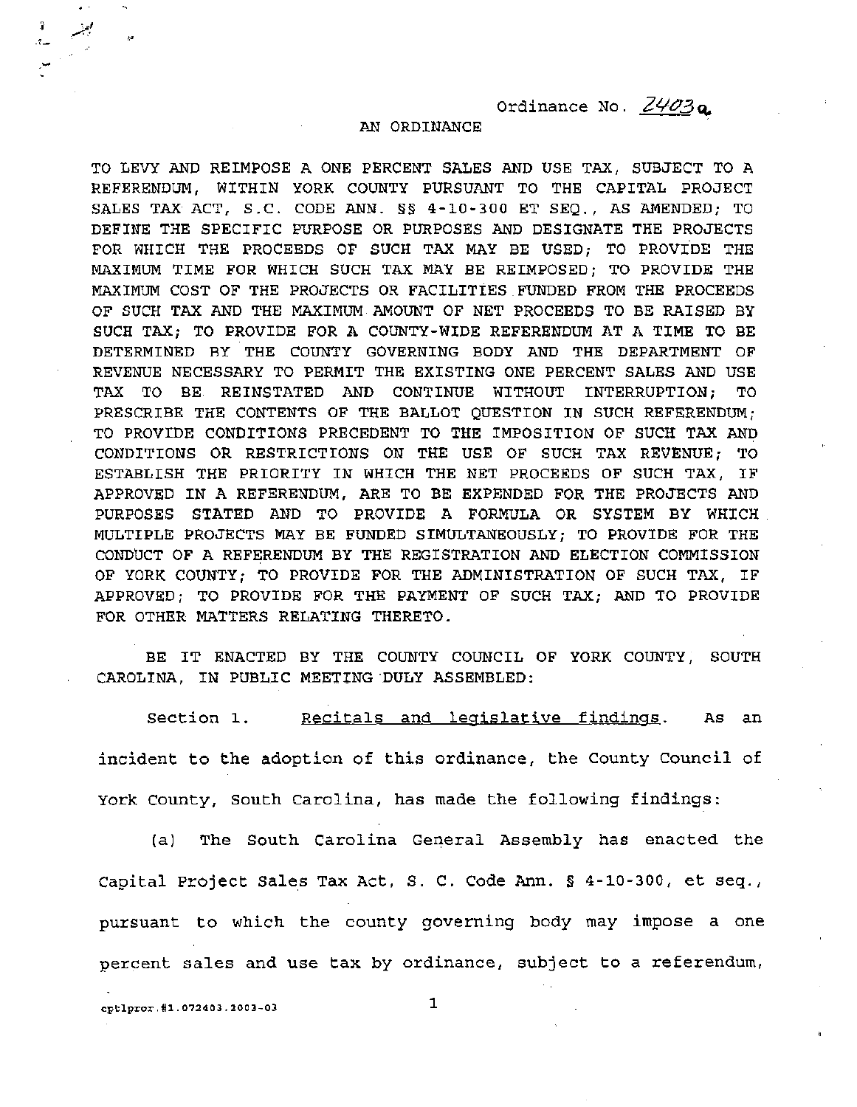Ordinance No.  $Z\frac{\mu}{2}a$ .

## AN ORDINANCE

TO LEVY AND REIMPOSE A ONE PERCENT SALES AND USE TAX, SUBJECT TO A REFERENDUM, WITHIN YORK COUNTY PURSUANT TO THE CAPITAL PROJECT SALES TAX ACT, S.C. CODE ANN. §§ 4-10-300 ET SEQ., AS AMENDED; TO DEFINE THE SPECIFIC PURPOSE OR PURPOSES AND DESIGNATE THE PROJECTS FOR WHICH THE PROCEEDS OF SUCH TAX MAY BE USED; TO PROVIDE THE MAXIMUM TIME FOR WHICH SUCH TAX MAY BE REIMPOSED; TO PROVIDE THE MAXIMUM COST OF THE PROJECTS OR FACILITIES FUNDED FROM THE PROCEEDS OF SUCH TAX AND THE MAXIMUM AMOUNT OF NET PROCEEDS TO BE RAISED BY SUCH TAX; TO PROVIDE FOR A COUNTY-WIDE REFERENDUM AT A TIME TO BE DETERMINED BY THE COUNTY GOVERNING BODY AND THE DEPARTMENT OF REVENUE NECESSARY TO PERMIT THE EXISTING ONE PERCENT SALES AND USE TAX TO BE REINSTATED AND CONTINUE WITHOUT INTERRUPTION; TO PRESCRIBE THE CONTENTS OF THE BALLOT QUESTION IN SUCH REFERENDUM; TO PROVIDE CONDITIONS PRECEDENT TO THE IMPOSITION OF SUCH TAX AND CONDITIONS OR RESTRICTIONS ON THE USE OF SUCH TAX REVENUE; TO ESTABLISH THE PRIORITY IN WHICH THE NET PROCEEDS OF SUCH TAX, IF APPROVED IN A REFERENDUM, ARE TO BE EXPENDED FOR THE PROJECTS AND PURPOSES STATED AND TO PROVIDE A FORMULA OR SYSTEM BY WHICH MULTIPLE PROJECTS MAY BE FUNDED SIMULTANEOUSLY; TO PROVIDE FOR THE CONDUCT OF A REFERENDUM BY THE REGISTRATION AND ELECTION COMMISSION OF YORK COUNTY; TO PROVIDE FOR THE ADMINISTRATION OF SUCH TAX, IF APPROVED; TO PROVIDE FOR THE PAYMENT OF SUCH TAX; AND TO PROVIDE FOR OTHER MATTERS RELATING THERETO.

BE IT ENACTED BY THE COUNTY COUNCIL OF YORK COUNTY, SOUTH CAROLINA, IN PUBLIC MEETING DULY ASSEMBLED:

Section 1. Recitals and legislative findings. As an incident to the adoption of this ordinance, the County Council of York County, South Carolina, has made the following findings:

(al The South Carolina General Assembly has enacted the Capital project Sales Tax Act, S. C. Code Ann. § 4-10-300, et seq., pursuant to which the county governing body may impose a one percent sales and use tax by ordinance, subject to a referendum,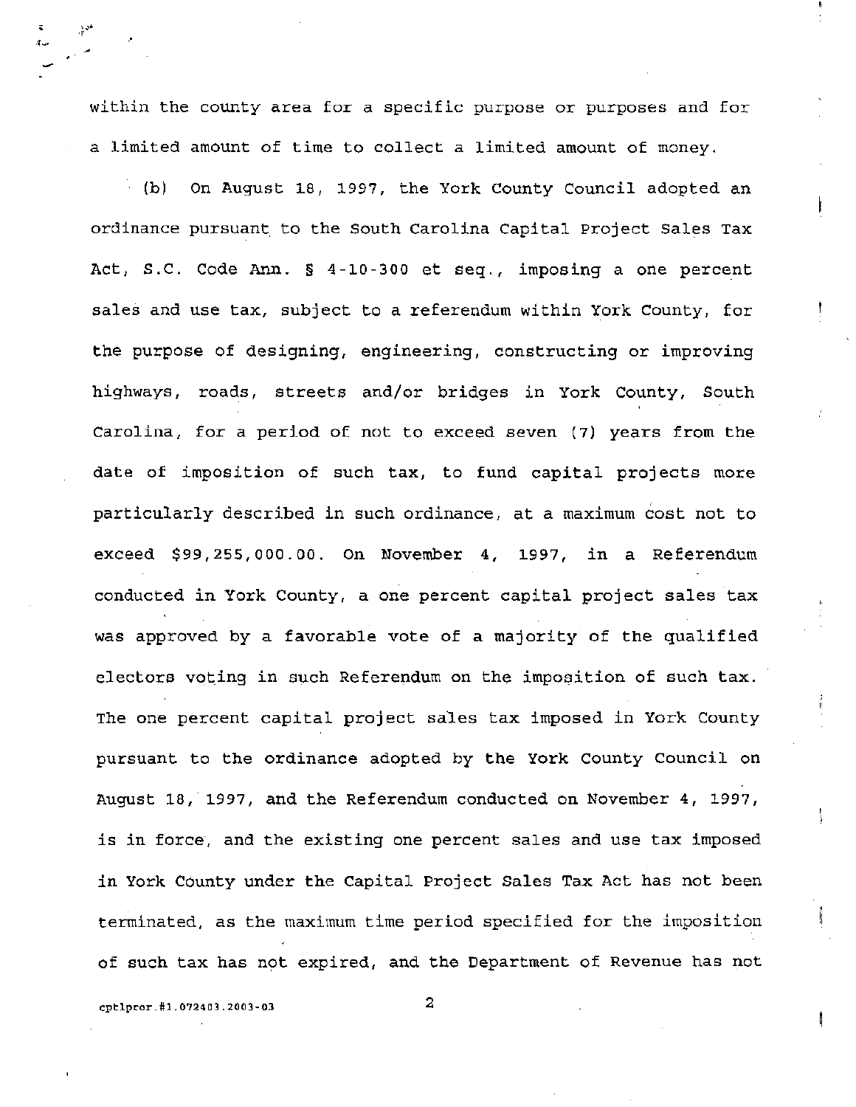within the county area for a specific purpose or purposes and for a limited amount of time to collect a limited amount of money.

(b) On August 18, 1997, the York county Council adopted an ordinance pursuant to the South Carolina Capital project Sales Tax Act, S.C. Code Ann. § 4-10-300 et seq., imposing a one percent sales and use tax, subject to a referendum within York County, for the purpose of designing, engineering, constructing or improving highways, roads, streets and/or bridges in York County, South Carolina, for a period of not to exceed seven (7) years from the date of imposition of· such tax, to fund capital projects more particularly described in such ordinance, at a maximum cost not to exceed \$99,255,000.00. On November 4, 1997, in a Referendum conducted in York County, a one percent capital project sales tax was approved by a favorable vote of a majority of the qualified electors voting in such Referendum on the imposition of such tax. The one percent capital project sales tax imposed in York County pursuant to the ordinance adopted by the York County Council on August 18, 1997, and the Referendum conducted on November 4, 1997, is in force, and the existing one percent sales and use tax imposed in York County under the Capital project Sales Tax Act has not been terminated, as the maximum time period specified for the imposition of such tax has not expired, and the Department of Revenue has not

cptlpror.#1.072403.2003-03 2

· .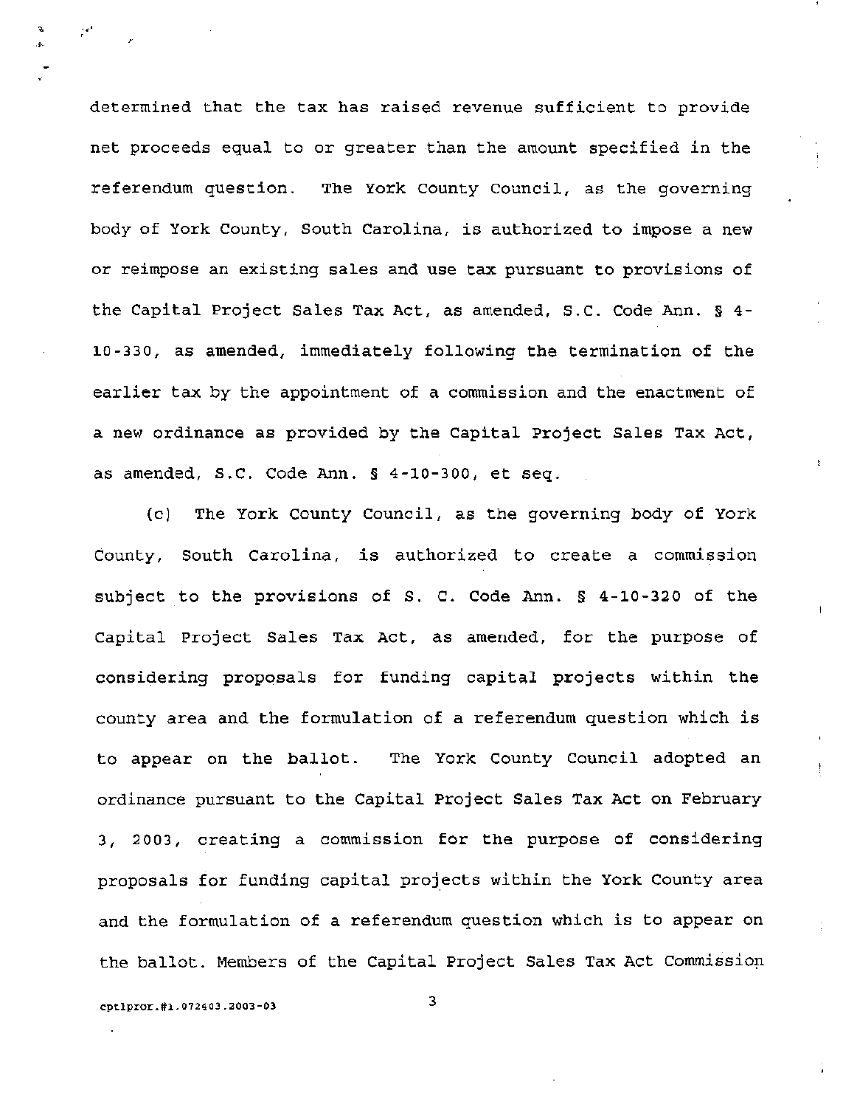determined that the tax has raised revenue sufficient to provide net proceeds equal to or greater than the amount specified in the referendum question. The York County Council, as the governing body of York County, South Carolina, is authorized to impose a new or reimpose an existing sales and use tax pursuant to provisions of the Capital Project Sales Tax Act, as amended, S.C. Code Ann. § 4- 10-330, as amended, immediately following the termination of the earlier tax by the appointment of a commission and the enactment of a new ordinance as provided by the Capital project Sales Tax Act, as amended, S.C. Code Ann. § 4-10-300, et seq.

(c) The York County Council, as the governing body of York County, South Carolina, is authorized to create a commission subject to the provisions of S. C. Code Ann. § 4-10-320 of the Capital Project Sales Tax Act, as amended, for the purpose of considering proposals for funding capital projects within the county area and the formulation of a referendum question which is to appear on the ballot. The York County Council adopted an ordinance pursuant to the Capital Project Sales Tax Act on February 3, 2003, creating a commission for the purpose of considering proposals for funding capital projects within the York County area and the formulation of a referendum question which is to appear on the ballot. Members of the Capital Project Sales Tax Act Commission

cptlpror.#1.072403.2003-03 3

.-; ..

 $\overline{a}$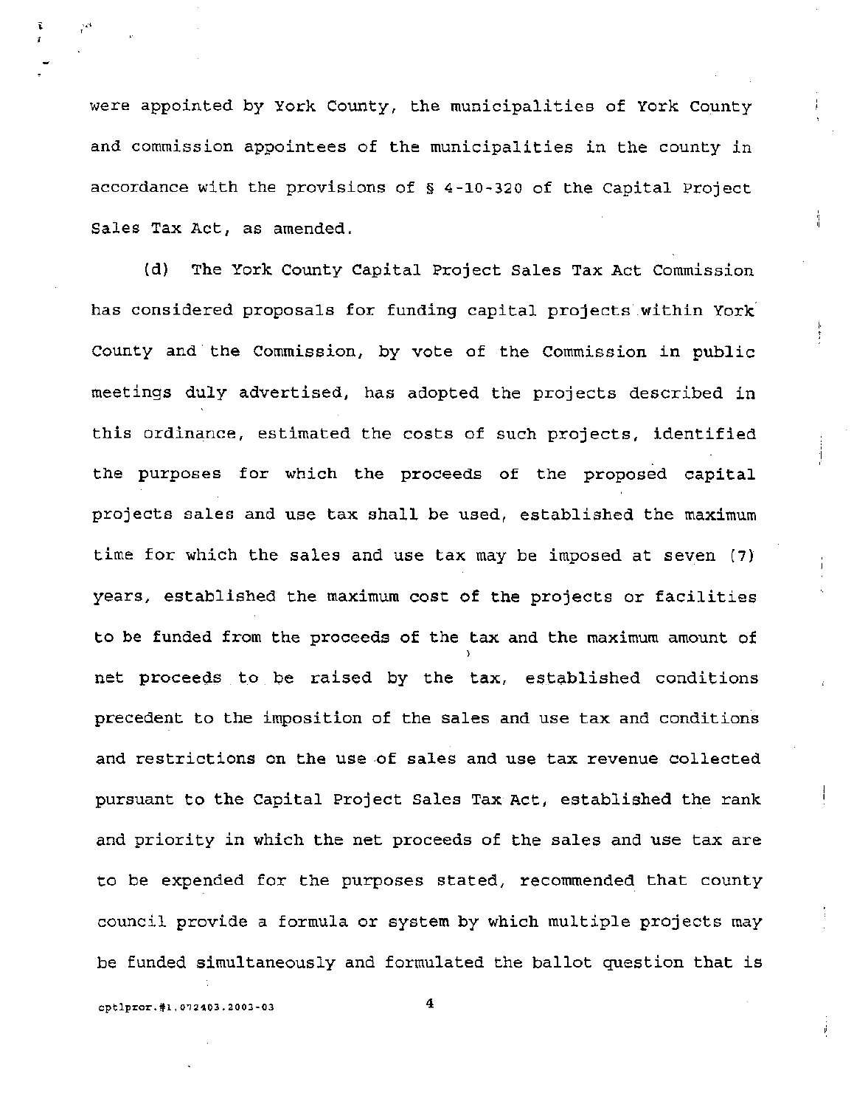were appointed by York County, the municipalities of York County and commission appointees of the municipalities in the county in accordance with the provisions of § 4-10-320 of the Capital Project Sales Tax Act, as amended.

(d) The York County Capital Project Sales Tax Act Commission has considered proposals for funding capital projects.within York County and the Commission, by vote of the Commission in public meetings duly advertised, has adopted the projects described in this ordinance, estimated the costs of such projects, identified the purposes for which the proceeds of the proposed capital projects sales and use tax shall be used, established the maximum time for which the sales and use tax may be imposed at seven (7) years, established the maximum cost of the projects or facilities to be funded from the proceeds of the tax and the maximum amount of ) net proceeds to be raised by the tax, established conditions precedent to the imposition of the sales and use tax and conditions and restrictions on the use of sales and use tax revenue collected pursuant to the Capital Project Sales Tax Act, established the rank and priority in which the net proceeds of the sales and use tax are to be expended for the purposes stated, recommended that county council provide a formula or system by which multiple projects may be funded simultaneously and formulated the ballot question that is

cptlpror.#1.072403.2003-03 4

 $\mathfrak{r} = \gamma^{\mu}$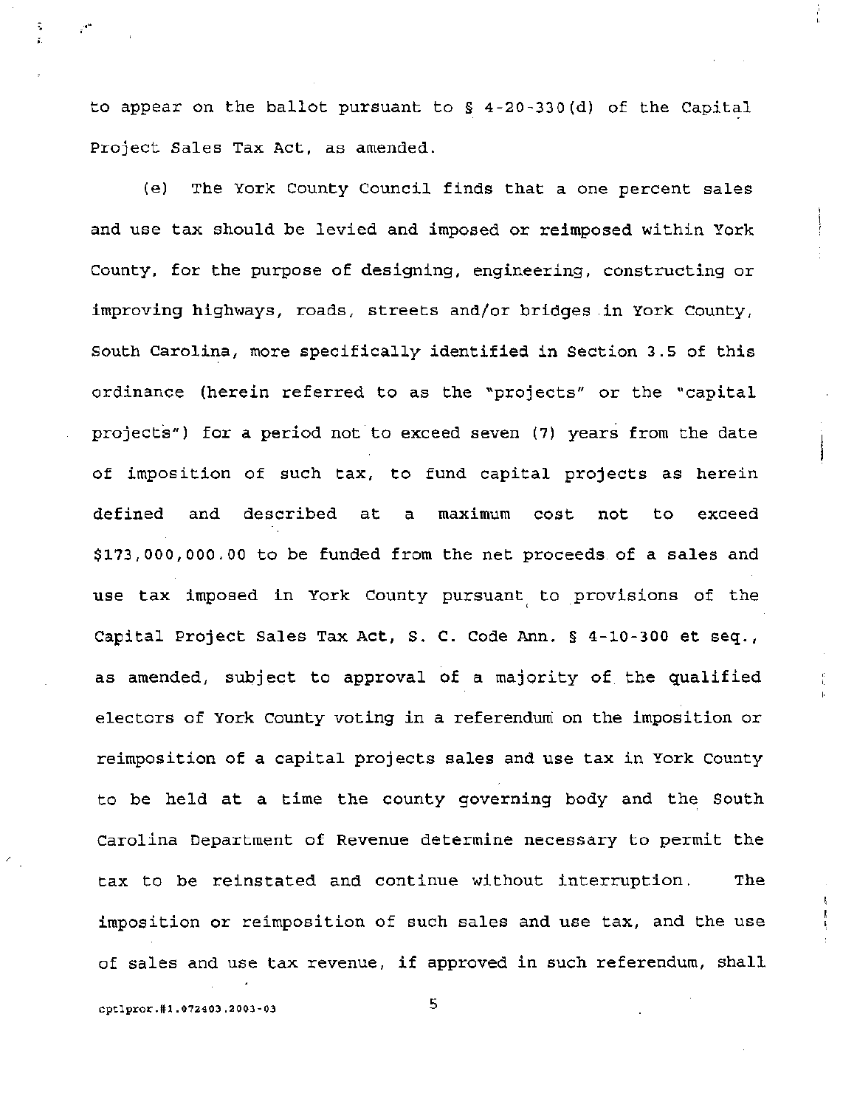to appear on the ballot pursuant to  $\S$  4-20-330(d) of the Capital project Sales Tax Act, as amended.

(e) The York County Council finds that a one percent sales and use tax should be levied and imposed or reimposed within York County, for the purpose of designing, engineering, constructing or improving highways, roads, streets and/or bridges in York County, South Carolina, more specifically identified in Section 3.5 of this ordinance (herein referred to as the "projects" or the "capital projects") for a period not to exceed seven (7) years from the date of imposition of such tax, to fund capital projects as herein defined and described at a maximum cost not to exceed \$173,000,000.00 to be funded from the net proceeds of a sales and use tax imposed in York County pursuant to provisions of the capital project Sales Tax Act, S. C. Code Ann. § 4-10-300 et seq., as amended, subject to approval of a majority of the qualified electors of York County voting in a referendum on the imposition or reimposition of a capital projects sales and use tax in York County to be held at a time the county governing body and the South Carolina Department of Revenue determine necessary to permit the tax to be reinstated and continue without interruption. The imposition or reimposition of such sales and use tax, and the use of sales and use tax revenue, if approved in such referendum, shall

cptlpror.#1.072403.2003-03 5

;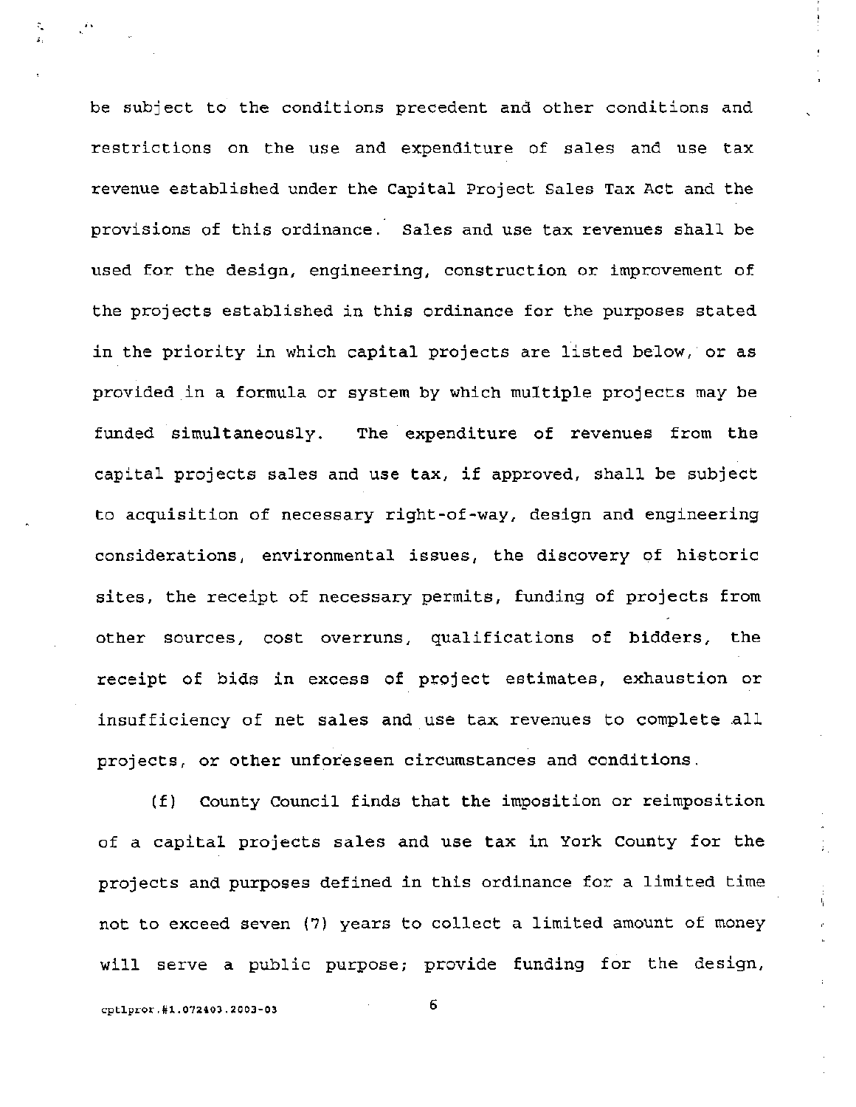be subject to the conditions precedent and other conditions and restrictions on the use and expenditure of sales and use tax revenue established under the Capital Project Sales Tax Act and the provisions of this ordinance. Sales and use tax revenues shall be used for the design, engineering, construction or improvement of the projects established in this ordinance for the purposes stated in the priority in which capital projects are listed below, or as provided in a formula or system by which multiple projects may be funded simultaneously. The expenditure of revenues from the capital projects sales and use tax, if approved, shall be subject to acquisition of necessary right-of-way, design and engineering considerations, environmental issues, the discovery of historic sites, the receipt of necessary permits, funding of projects from other sources, cost overruns, qualifications of bidders, the receipt of bids in excess of project estimates, exhaustion or insufficiency of net sales and use tax revenues to complete all projects, or other unforeseen circumstances and conditions.

(f) County Council finds that the imposition or reimposition of a capital projects sales and use tax in York County for the projects and purposes defined in this ordinance for a limited time not to exceed seven (7) years to collect a limited amount of money will serve a public purpose; provide funding for the design,

cptlpror.#1.072403.200J-03

6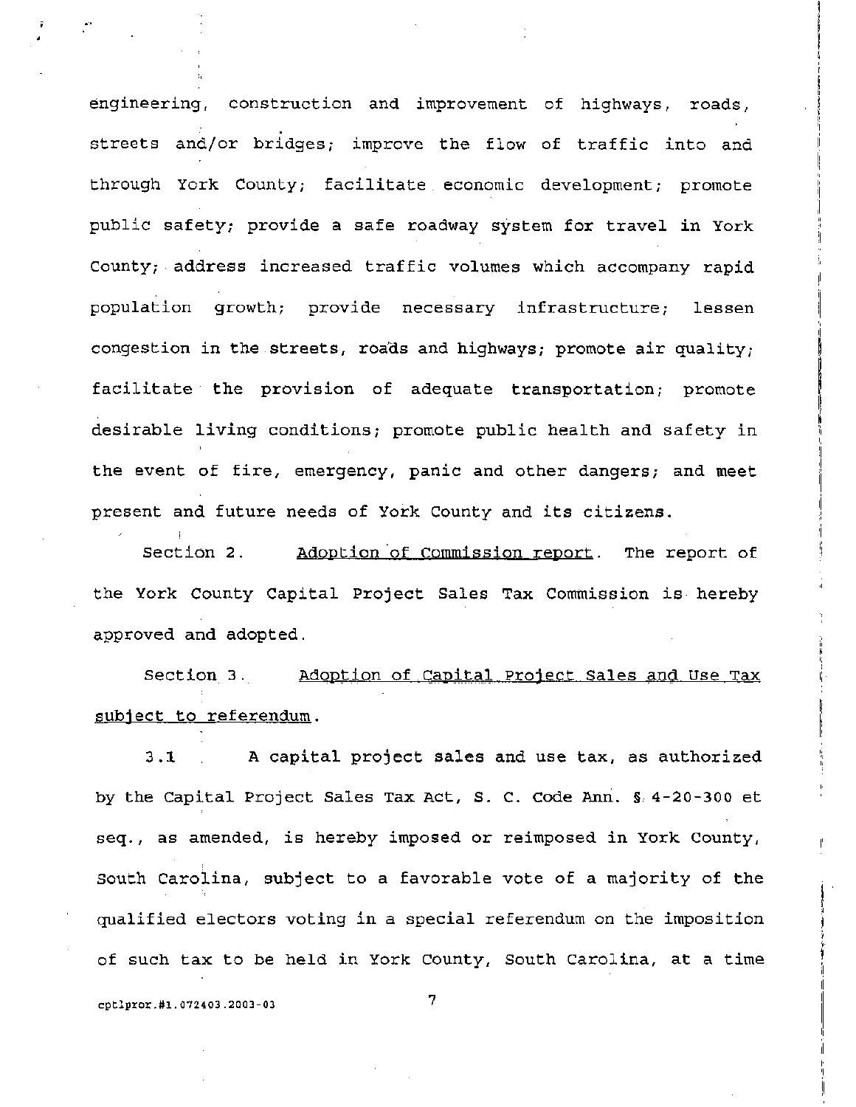engineering, construction and improvement of highways, roads, streets and/or bridges; improve the flow of traffic into and through York County; facilitate. economic development; promote public safetYi provide a safe roadway system for travel in York county; address increased traffic volumes which accompany rapid population growth; provide necessary infrastructure; lessen congestion in the streets, roads and highways; promote air quality; facilitate the provision of adequate transportation; promote desirable living conditions; promote public health and safety in the event of fire, emergency, panic and other dangers; and meet present and future needs of York County and its citizens.

Section 2. Adoption of Commission report. The report of the York County Capital project Sales Tax Commission is hereby approved and adopted.

Section 3. Adoption of Capital Project Sales and Use Tax subject to referendum.

3.1 A capital project sales and use tax, as authorized by the Capital Project Sales Tax Act, S. C. Code Ann. §, 4-20-300 et seq., as amended, is hereby imposed or reimposed in York County, South Carolina, subject to a favorable vote of a majority of the qualified electors voting in a special referendum on the imposition of such tax to be held in York County, South Carolina, at a time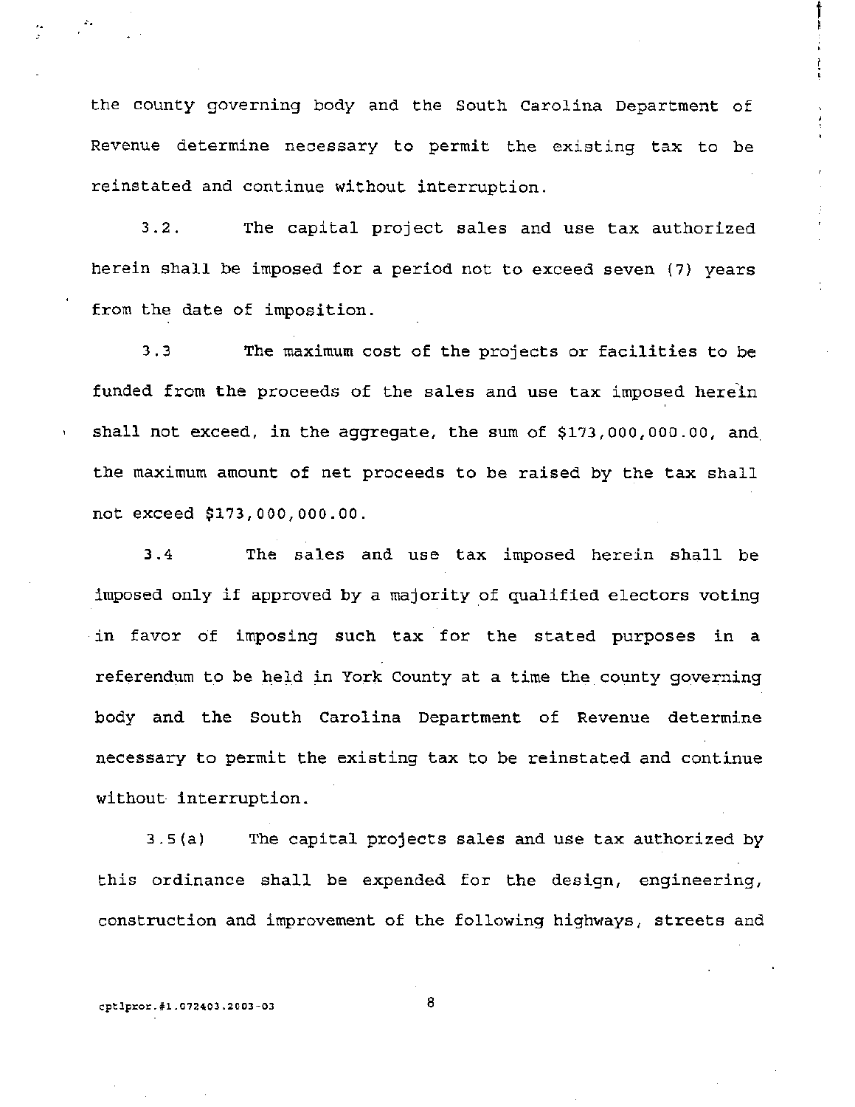the county governing body and the South Carolina Department of Revenue determine necessary to permit the existing tax to be reinstated and continue without interruption.

 $t_{\rm t}$  ,  $t_{\rm t}$  ,  $t_{\rm t}$  ,  $t_{\rm t}$  ,  $t_{\rm t}$  ,  $t_{\rm t}$  ,  $t_{\rm t}$  ,  $t_{\rm t}$  ,  $t_{\rm t}$  ,  $t_{\rm t}$  ,  $t_{\rm t}$  ,  $t_{\rm t}$  ,  $t_{\rm t}$  ,  $t_{\rm t}$  ,  $t_{\rm t}$  ,  $t_{\rm t}$  ,  $t_{\rm t}$  ,  $t_{\rm t}$  ,  $t_{\rm t}$  ,  $t_{\rm t}$  ,

3.2. The capital project sales and use tax authorized herein shall be imposed for a period not to exceed seven (7) years from the date of imposition.

3.3 The maximum cost of the projects or facilities to be funded from the proceeds of the sales and use tax imposed herein shall not exceed, in the aggregate, the sum of \$173,000,000.00, and, the maximum amount of net proceeds to be raised by the tax shall not exceed \$173,000,000.00.

3.4 The sales and use tax imposed herein shall be imposed only if approved by a majority of qualified electors voting in favor of imposing such tax for the stated purposes in a referendum to be held in York County at a time the county governing body and the South Carolina Department of Revenue determine necessary to permit the existing tax to be reinstated and continue without interruption.

3.5{al The capital projects sales and use tax authorized by this ordinance shall be expended for the design, engineering, construction and improvement of the following highways, streets and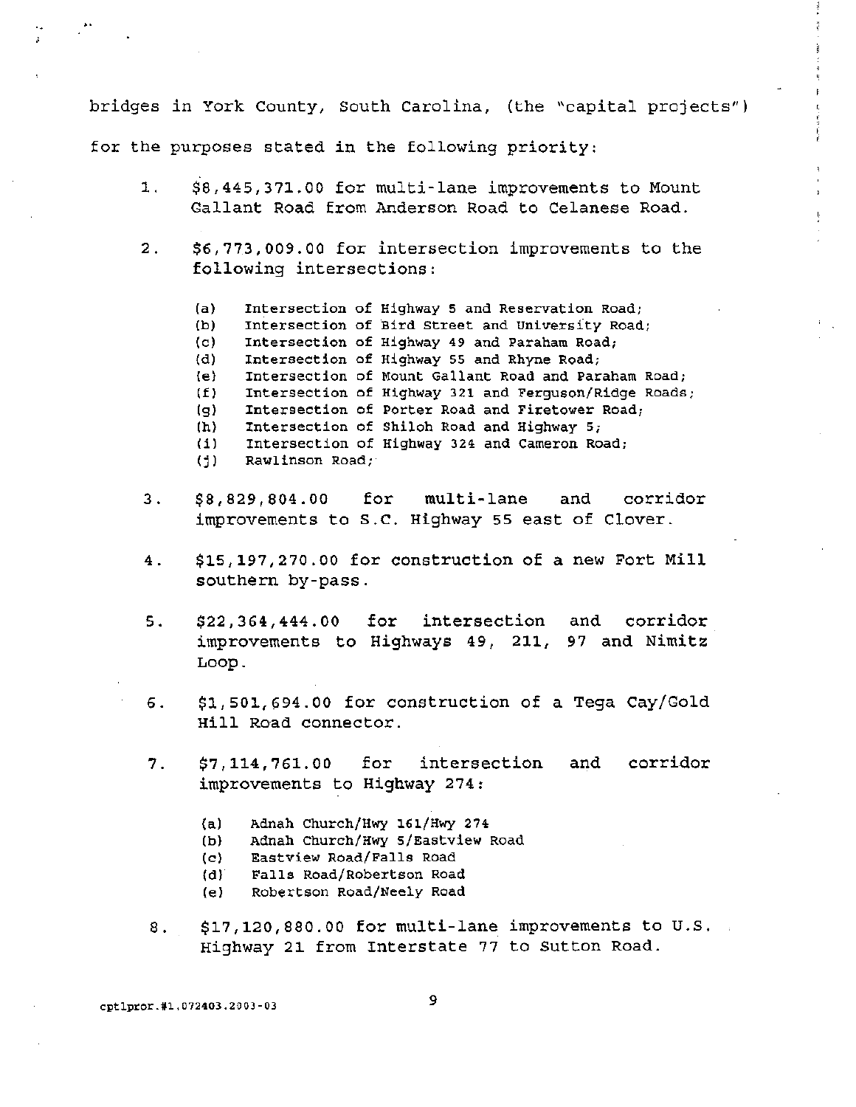bridges in York County, South Carolina, (the "capital projects") for the purposes stated in the following priority:

- 1. \$8,445,371.00 for multi-lane improvements to Mount Gallant Road from Anderson Road to Celanese Road.
- 2. \$6,773,009.00 for intersection improvements to the following intersections:
	- (a) Intersection of Highway 5 and Reservation Road;
	- (b) Intersection of Bird Street and University Road;
	- (c) Intersection of Highway 49 and Paraham Road;
	- (d) Intersection of Highway 55 and Rhyne Road;
	- (e) Intersection of Mount Gallant Road and Paraham Road;
	- (f) Intersection of Highway 321 and Ferguson/Ridge Roads;
	- (g) Intersection of Porter Road and Firetower Road;
	- (h) Intersection of Shiloh Road and Highway 5;
	- (i) Intersection of Highway 324 and Cameron Road;
	- (j) Rawlinson Road;
- 3. \$8,829,804.00 for multi-lane and corridor improvements to S.C. Highway 55 east of Clover.
- 4. \$15,197,270.00 for construction of a new Fort Mill southern by-pass.
- 5 . **\$22,364,444.00** for intersection improvements to Highways 49, 211, Loop. and corridor 97 and Nimitz
- 6. \$1,501,694.00 for construction of a Tega cay/Gold Hill Road connector.
- 7. \$7,114,761.00 for intersection improvements to Highway 274: and corridor
	- (a) Adnah Church/Hwy 161/Hwy 274
	- (b) Adnah Church/Hwy 5/Eastview Road
	- (c) Eastview Road/Falls Road
	- (d) Falls Road/Robertson Road
	- (e) Robertson Road/Neely Road
- 8. \$17,120,880.00 for multi-lane improvements to U.S. Highway 21 from Interstate 77 to Sutton Road.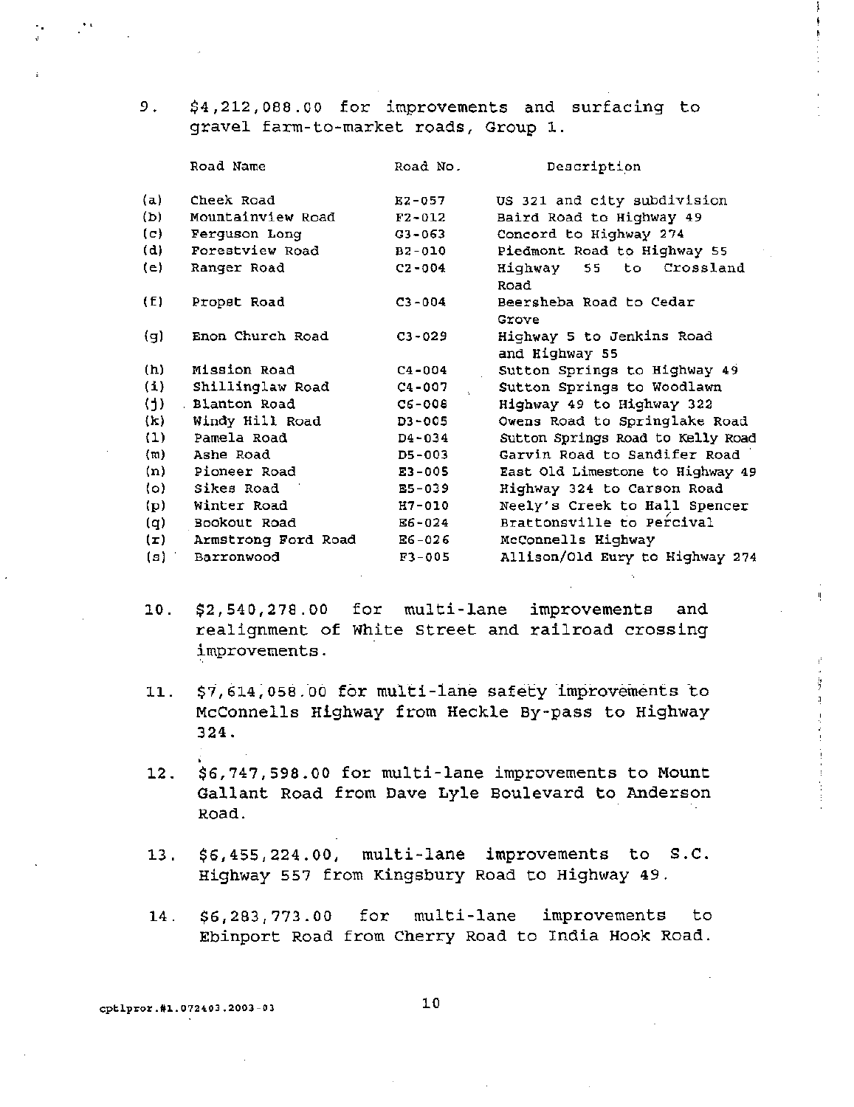9. \$4,212,088.00 for improvements and surfacing to gravel farm-to-market roads, Group 1.

|          | Road Name           | Road No.   | Description                       |
|----------|---------------------|------------|-----------------------------------|
|          |                     |            |                                   |
| (a)      | Cheek Road          | $E2 - 057$ | US 321 and city subdivision       |
| (b)      | Mountainview Road   | $F2 - 012$ | Baird Road to Highway 49          |
| (c)      | Ferguson Long       | $G3 - 063$ | Concord to Highway 274            |
| (d)      | Forestview Road     | B2-010     | Piedmont Road to Highway 55       |
| (e)      | Ranger Road         | $C2 - 004$ | Highway 55 to Crossland           |
|          |                     |            | Road                              |
| (f)      | Propet Road         | $C3 - 004$ | Beersheba Road to Cedar           |
|          |                     |            | Grove                             |
| (g)      | Enon Church Road    | $C3 - 029$ | Highway 5 to Jenkins Road         |
|          |                     |            | and Highway 55                    |
| (h)      | Mission Road        | $C4 - 004$ | Sutton Springs to Highway 49      |
| (1)      | Shillinglaw Road    | $C4 - 007$ | Sutton Springs to Woodlawn        |
| (j)      | . Blanton Road      | $C6 - 008$ | Highway 49 to Highway 322         |
| (k)      | Windy Hill Road     | D3-005     | Owens Road to Springlake Road     |
| (1)      | Pamela Road         | $D4 - 034$ | Sutton Springs Road to Kelly Road |
| (m)      | Ashe Road           | $D5 - 003$ | Garvin Road to Sandifer Road      |
| (n)      | Pioneer Road        | E3-005     | East Old Limestone to Highway 49  |
| (0)      | Sikes Road          | $E5 - 039$ | Highway 324 to Carson Road        |
| (p)      | Winter Road         | $H7 - 010$ | Neely's Creek to Hall Spencer     |
| (q)      | Bookout Road        | E6-024     | Brattonsville to Percival         |
| $(\tau)$ | Armstrong Ford Road | $E6 - 026$ | McConnells Highway                |
| (s)      | Barronwood          | $F3 - 005$ | Allison/Old Eury to Highway 274   |

- *10. \$2,540,278.00*  for multi-lane improvements and realignment of White street and railroad crossing improvements.
- 11. \$7,614;058.00 for multi-lane safety improvements to McConnells Highway from Heckle By-pass to Highway 324.
- *12. \$6,747,598.00* for multi-lane improvements to Mount Gallant Road from Dave Lyle Boulevard to Anderson Road.
- *13. \$6,455,224.00,* mUlti-lane improvements to S.C. Highway 557 from Kingsbury Road to Highway 49.
- *14. \$6,283,773.00* for multi-lane improvements to Ebinport Road from Cherry Road to India Hook Road.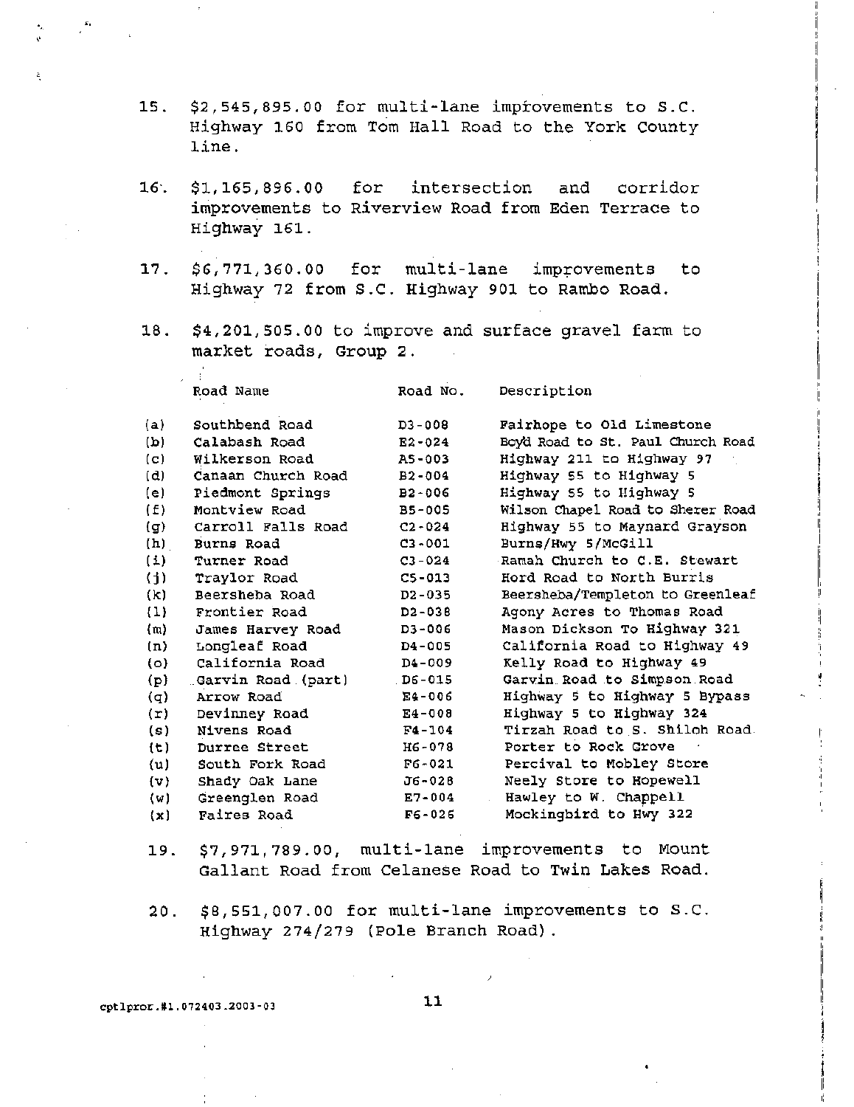- 15. \$2,545,895.00 for mUlti-lane improvements to S.C. Highway 160 from Tom Hall Road to the York County line.
- 16". \$1,165,896.00 for intersection and corridor improvements to Riverview Road from Eden Terrace to Highway 161.
- $17.$  \$6,771,360.00 for multi-lane improvements to Highway 72 from S.C. Highway 901 to Rambo Road.
- 18. \$4,201,505.00 to improve and surface gravel farm to market roads, Group 2.

Road Name

- P

'"

Road No. Description

| (a)            | Southbend Road      | $D3 - 008$ | Fairhope to Old Limestone         |
|----------------|---------------------|------------|-----------------------------------|
| (b)            | Calabash Road       | $E2 - 024$ | Boyd Road to St. Paul Church Road |
| (c)            | Wilkerson Road      | AS-003     | Highway 211 to Highway 97         |
| (d)            | Canaan Church Road  | $B2 - 004$ | Highway 55 to Highway 5           |
| (e)            | Piedmont Springs    | $B2 - 006$ | Highway 55 to Highway 5           |
| (E)            | Montview Road       | $B5 - 005$ | Wilson Chapel Road to Sherer Road |
| (g)            | Carroll Falls Road  | $C2 - 024$ | Highway 55 to Maynard Grayson     |
| (h)            | Burns Road          | $C3 - 001$ | Burns/Hwy 5/McGill                |
| (1)            | Turner Road         | $C3 - 024$ | Ramah Church to C.E. Stewart      |
| (j)            | Traylor Road        | $C5 - 013$ | Hord Road to North Burris         |
| (k)            | Beersheba Road      | $D2 - 035$ | Beersheba/Templeton to Greenleaf  |
| (1)            | Frontier Road       | $D2 - 038$ | Agony Acres to Thomas Road        |
| (m)            | James Harvey Road   | D3-006     | Mason Dickson To Highway 321      |
| (n)            | Longleaf Road       | $D4 - 005$ | California Road to Highway 49     |
| $\{o\}$        | California Road     | D4-009     | Kelly Road to Highway 49          |
| (p)            | "Garvin Road (part) | D6-015     | Garvin Road to Simpson Road       |
| (q)            | Arrow Road          | E4-006     | Highway 5 to Highway 5 Bypass     |
| $(\texttt{r})$ | Devinney Road       | $E4 - 008$ | Highway 5 to Highway 324          |
| (s)            | Nivens Road         | $F4 - 104$ | Tirzah Road to S. Shiloh Road.    |
| (t)            | Durree Street       | H6-078     | Porter to Rock Grove              |
| (u)            | South Fork Road     | $F6 - 021$ | Percival to Mobley Store          |
| $\{v\}$        | Shady Oak Lane      | J6-028     | Neely Store to Hopewell           |
| (w)            | Greenglen Road      | $E7 - 004$ | Hawley to W. Chappell             |
| $\{x\}$        | Faires Road         | $F6 - 026$ | Mockingbird to Hwy 322            |
|                |                     |            |                                   |

- 19. \$7,971,789.00, mUlti-lane improvements to Mount Gallant Road from Celanese Road to Twin Lakes Road.
- 20. \$8,551,007.00 for multi-lane improvements to S.C. Highway 274/279 (Pole Branch Road) .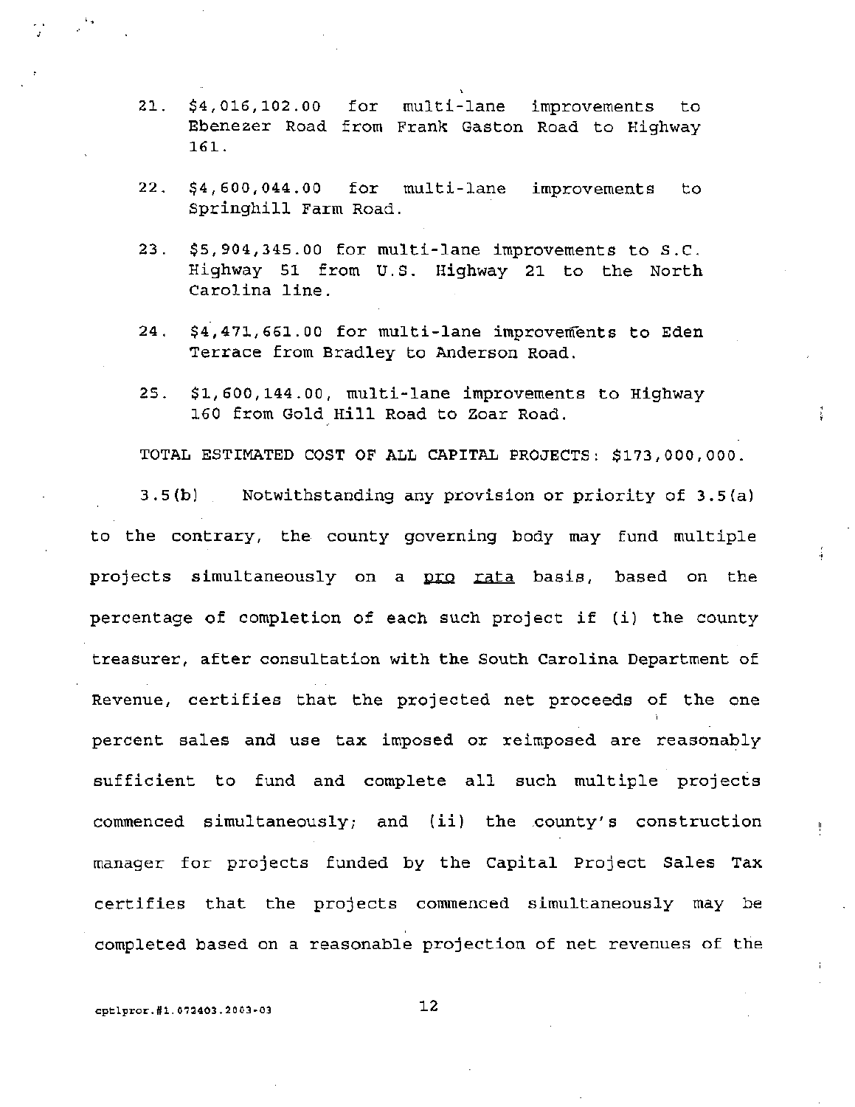- 2l. \$4,016,102.00 for multi-lane improvements to Ebenezer Road from Frank Gaston Road to Highway 161.
- 22. \$4,600,044.00 for multi-lane improvements to Springhill Farm Road.
- 23. \$5,904,345.00 for multi-lane improvements to S.C. Highway 51 from U.S. Highway 21 to the North Carolina line.
- 24. \$4,471,661.00 for multi-lane improvements to Eden Terrace from Bradley to Anderson Road.
- 25. \$1,600,144.00, multi-lane improvements to Highway 160 from Gold Hill Road to Zoar Road.

TOTAL ESTIMATED COST OF ALL CAPITAL PROJECTS: \$173,000,000.

3.5(b) Notwithstanding any provision or priority of 3.5(a) to the contrary, the county governing body may fund multiple projects simultaneously on a pro rata basis, based on the percentage of completion of each such project if (i) the county treasurer, after consultation with the South Carolina Department of Revenue, certifies that the projected net proceeds of the one percent sales and use tax imposed or reimposed are reasonably sufficient to fund and complete all such multiple projects commenced simultaneously; and (ii) the .county's construction manager for projects funded by the Capital Project Sales Tax certifies that the projects commenced simultaneously may be completed based on a reasonable projection of net revenues of the

cptlpror.#1.072403.2003-03 12

"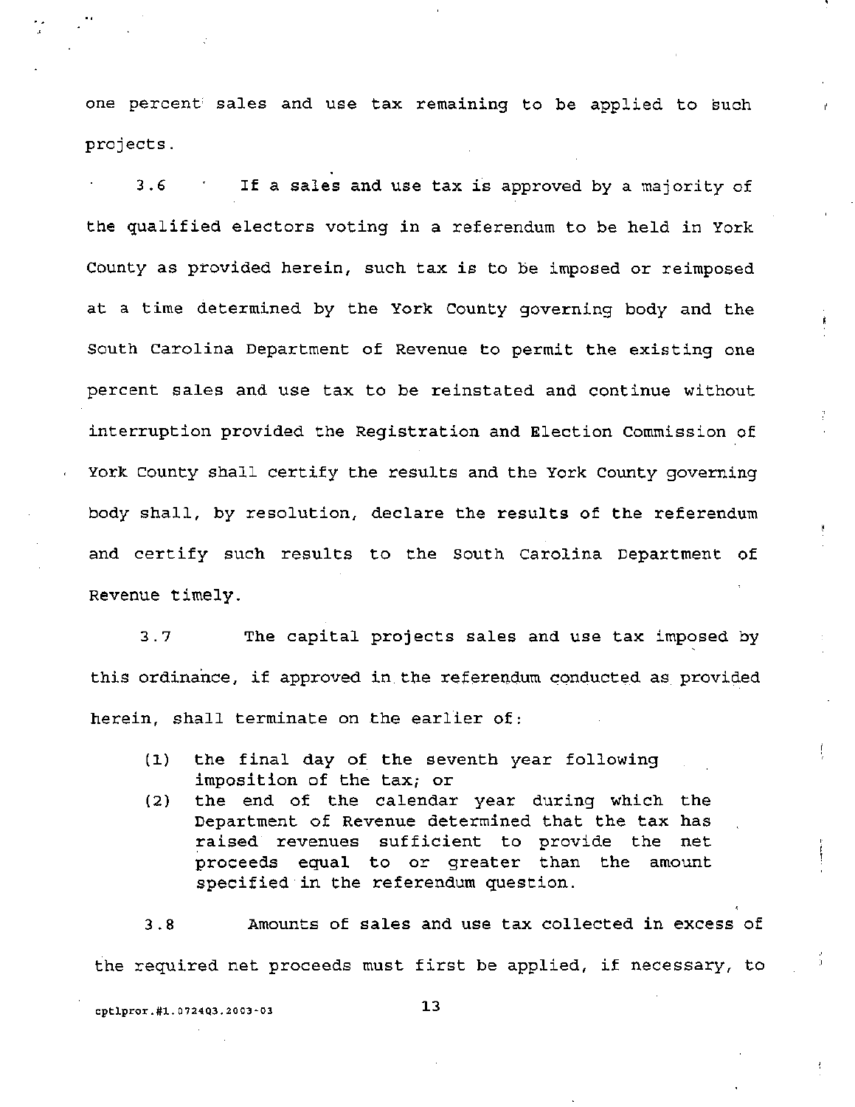one percent sales and use tax remaining to be applied to such projects.

3.6 If a sales and use tax is approved by a majority of the qualified electors voting in a referendum to be held in York county as provided herein, such tax is to be imposed or reimposed at a time determined by the York County governing body and the South Carolina Department of Revenue to permit the existing one percent sales and use tax to be reinstated and continue without interruption provided the Registration and Election Commission of York County shall certify the results and the York County governing body shall, by resolution, declare the results of the referendum and certify such results to the South Carolina Department of Revenue timely.

3.7 The capital projects sales and use tax imposed by this ordinance, if approved in the referendum conducted as provided herein, shall terminate on the earlier of:

- (1) the final day of the seventh year following imposition of the tax; or
- (2) the end of the calendar year during which the Department of Revenue determined that the tax has raised revenues sufficient to provide the net proceeds equal to or greater than the amount specified in the referendum question.

3.8 Amounts of sales and use tax collected in excess of the required net proceeds must first be applied, if necessary, to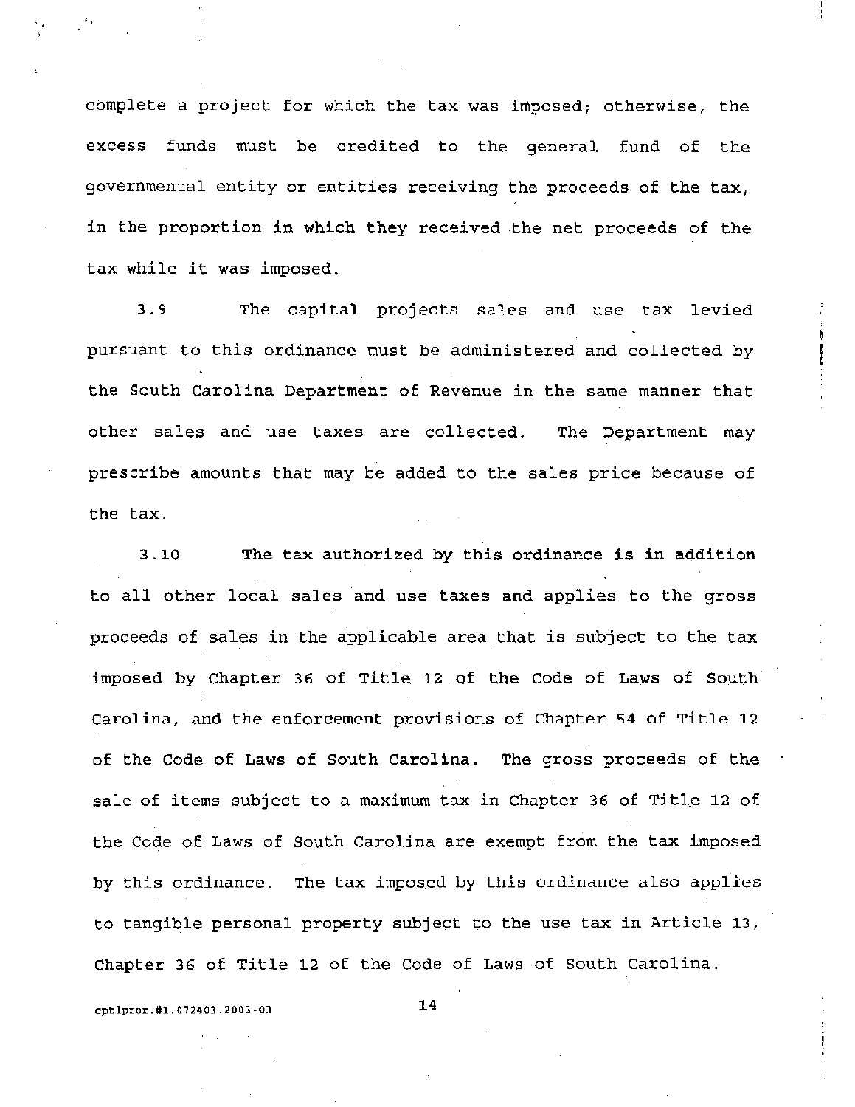complete a project for which the tax was imposed; otherwise, the excess funds must be credited to the general fund of the governmental entity or entities receiving the proceeds of the tax, in the proportion in which they received the net proceeds of the tax while it was imposed.

3.9 The capital projects sales and use tax levied pursuant to this ordinance must be administered and collected by the South Carolina Department of Revenue in the same manner that other sales and use taxes are. collected. The Department may prescribe amounts that may be added to the sales price because of the tax.

3.10 The tax authorized by this ordinance is in addition to all other local sales and use taxes and applies to the gross proceeds of sales in the applicable area that is subject to the tax imposed by Chapter 36 of Title 12 of the code of Laws of South Carolina, and the enforcement provisions of Chapter 54 of Title 12 of the Code of Laws of South Carolina. The gross proceeds of the sale of items subject to a maximum tax in Chapter 36 of Title 12 of the Code of Laws of South Carolina are exempt from the tax imposed by this ordinance. The tax imposed by this ordinance also applies to tangible personal property subject to the use tax in Article 13, Chapter 36 of Title 12 of the Code of Laws of South Carolina.

cptlpror.#1.072403.2003-03 14

"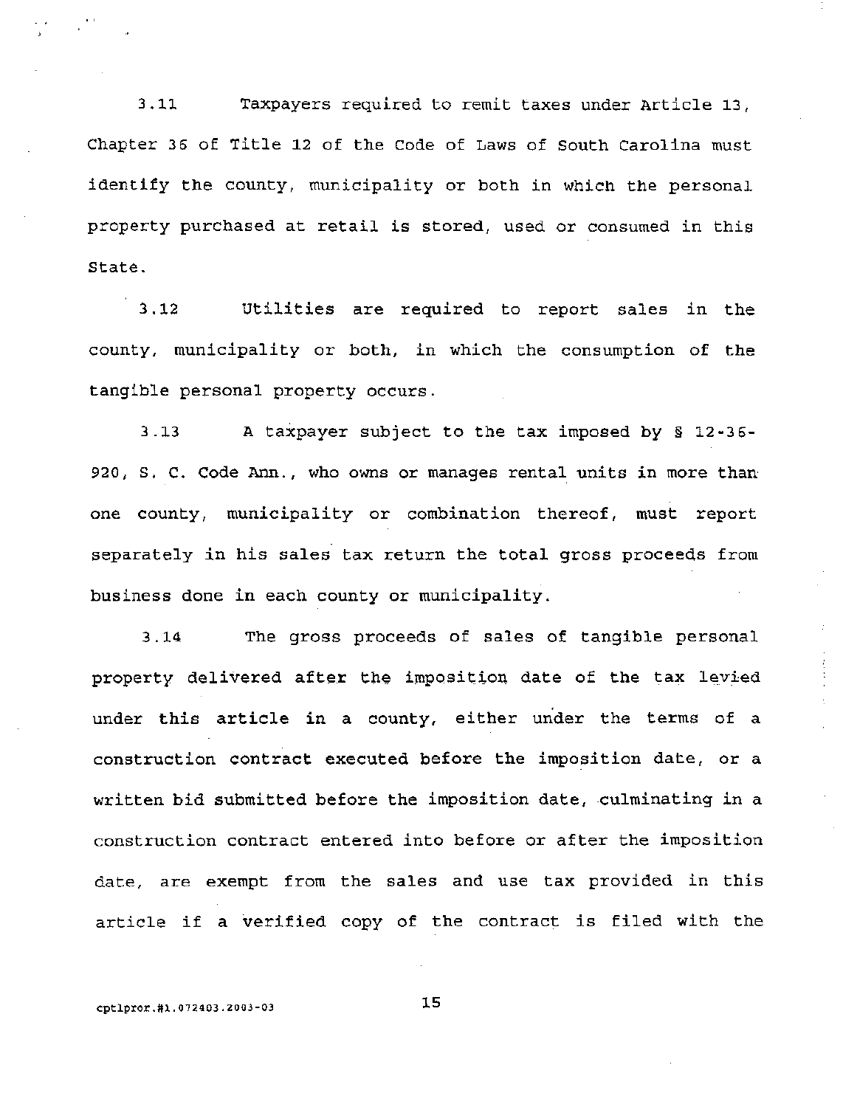3.11 Taxpayers required to remit taxes under Article 13/ Chapter 36 of Title 12 of the Code of Laws of South Carolina must identify the county, municipality or both in which the personal property purchased at retail is stored, used or consumed in this State.

3.12 utilities are required to report sales in the county, municipality or both, in which the consumption of the tangible personal property occurs.

3.13 A taxpayer subject to the tax imposed by § 12-36- 920/ S. C. Code Ann./ who owns or manages rental units in more than one county, municipality or combination thereof, must report separately in his sales tax return the total gross proceeds from business done in each county or municipality.

3.14 The gross proceeds of sales of tangible personal property delivered after the imposition date of the tax levied under this article in a county, either under the terms of a construction contract executed before the imposition date, or a written bid submitted before the imposition date, culminating in a construction contract entered into before or after the imposition date, are exempt from the sales and use tax provided in this article if a verified copy of the contract is filed with the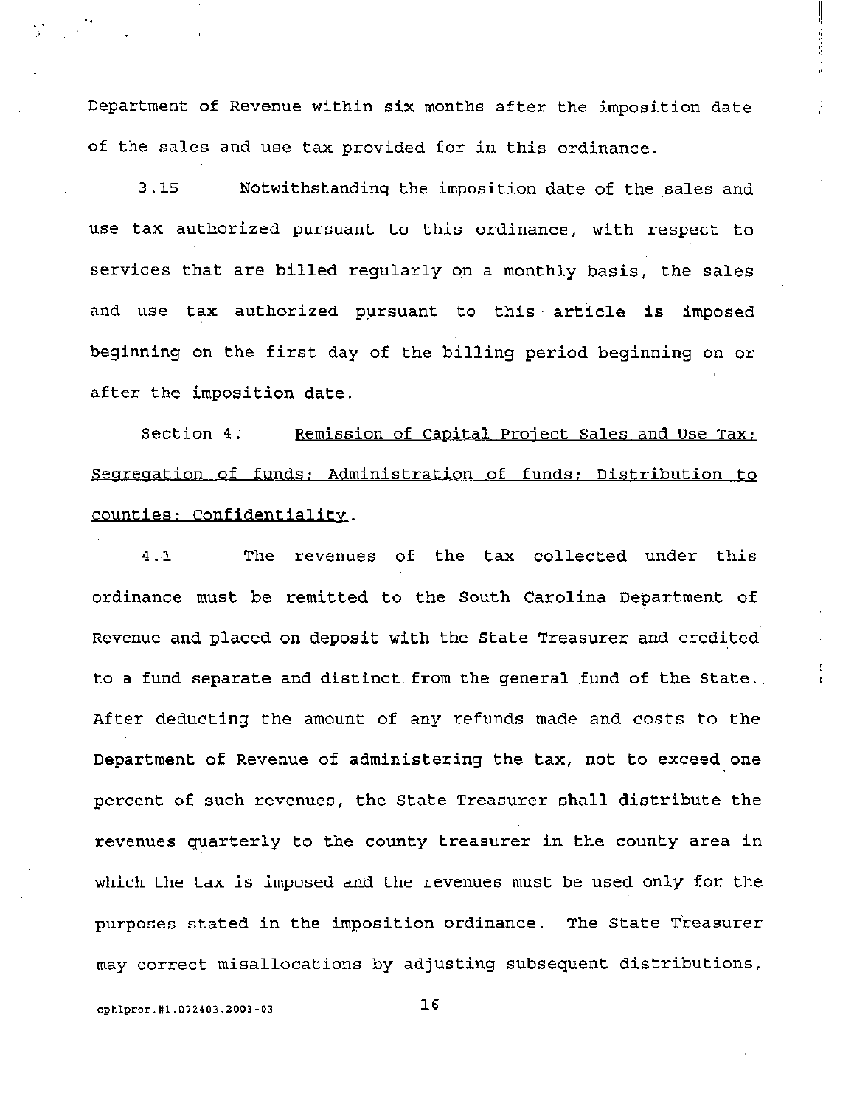Department of Revenue within *six* months after the imposition date of the sales and use tax provided for in this ordinance.

3.15 Notwithstanding the imposition date of the sales and use tax authorized pursuant to this ordinance, with respect to services that are billed regularly on a monthly basis, the sales and use tax authorized pursuant to this article is imposed beginning on the first day of the billing period beginning on or after the imposition date.

Section 4. Remission of Capital Project Sales and Use Tax; Segregation of funds; Administration of funds; Distribution to counties; Confidentiality.

4.1 The revenues of the tax collected under this ordinance must be remitted to the South Carolina Department of Revenue and placed on deposit with the State Treasurer and credited to a fund. separate and distinct from the general fund of the State. After deducting the amount of any refunds made and costs to the Department of Revenue of administering the tax, not to exceed one percent of such revenues, the State Treasurer shall distribute the revenues quarterly to the county treasurer in the county area in which the tax is imposed and the revenues must be used only for the purposes stated in the imposition ordinance. The state Treasurer may correct misallocations by adjusting subsequent distributions,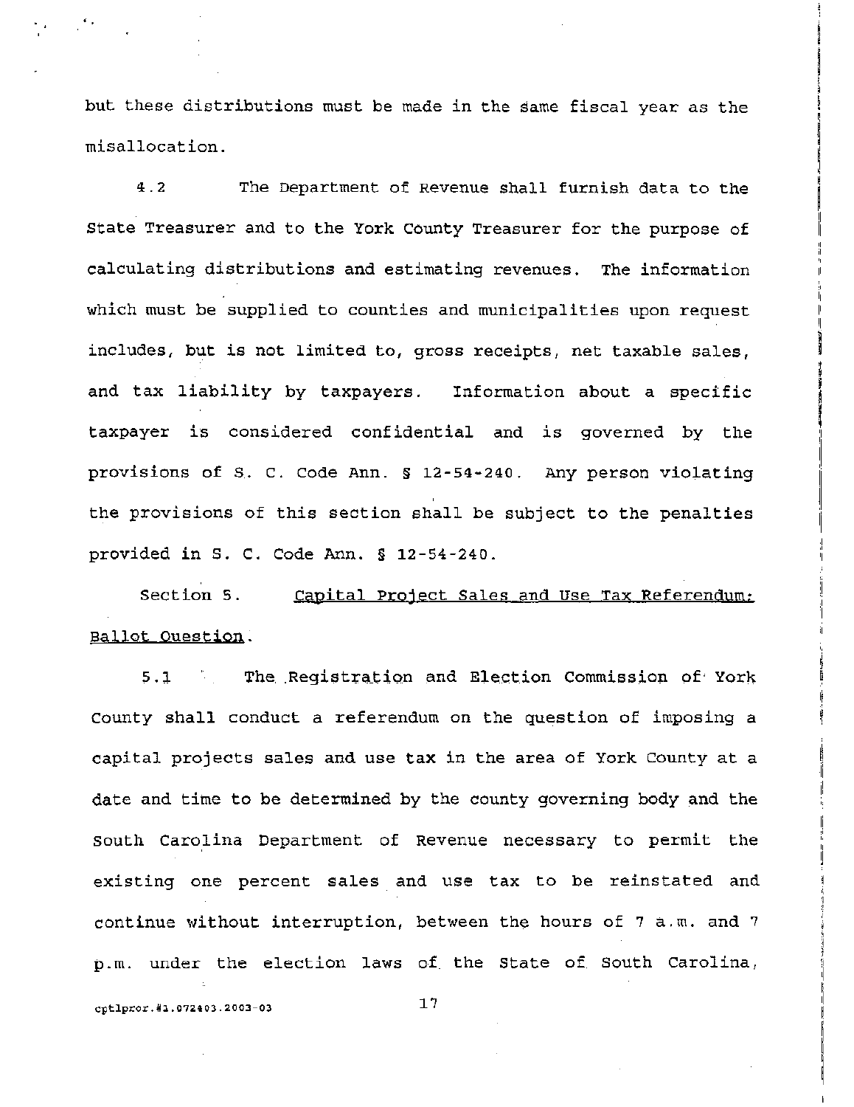but these distributions must be made in the same fiscal year as the misallocation.

4.2 The Department of Revenue shall furnish data to the state Treasurer and to the York County Treasurer for the purpose of calculating distributions and estimating revenues. The information which must be supplied to counties and municipalities upon request includes, but is not limited to, gross receipts, net taxable sales, and tax liability by taxpayers. Information about a specific taxpayer is considered confidential and is governed by the provisions of s. C. code Ann. § 12-54-240. Any person violating , the provisions of this section shall be subject to the penalties provided in S. C. Code Ann. § 12-54-240.

Section 5. Capital Project Sales and Use Tax Referendum: Ballot Question.

5.1 The Registration and Election Commission of York County shall conduct a referendum on the question of imposing a capital projects sales and use tax in the area of York County at a date and time to be determined by the county governing body and the South Carolina Department of Revenue necessary to permit the existing one percent sales and use tax to be reinstated and continue without interruption, between the hours of 7 a.m. and 7 p.m. under the election laws of the State of South Carolina,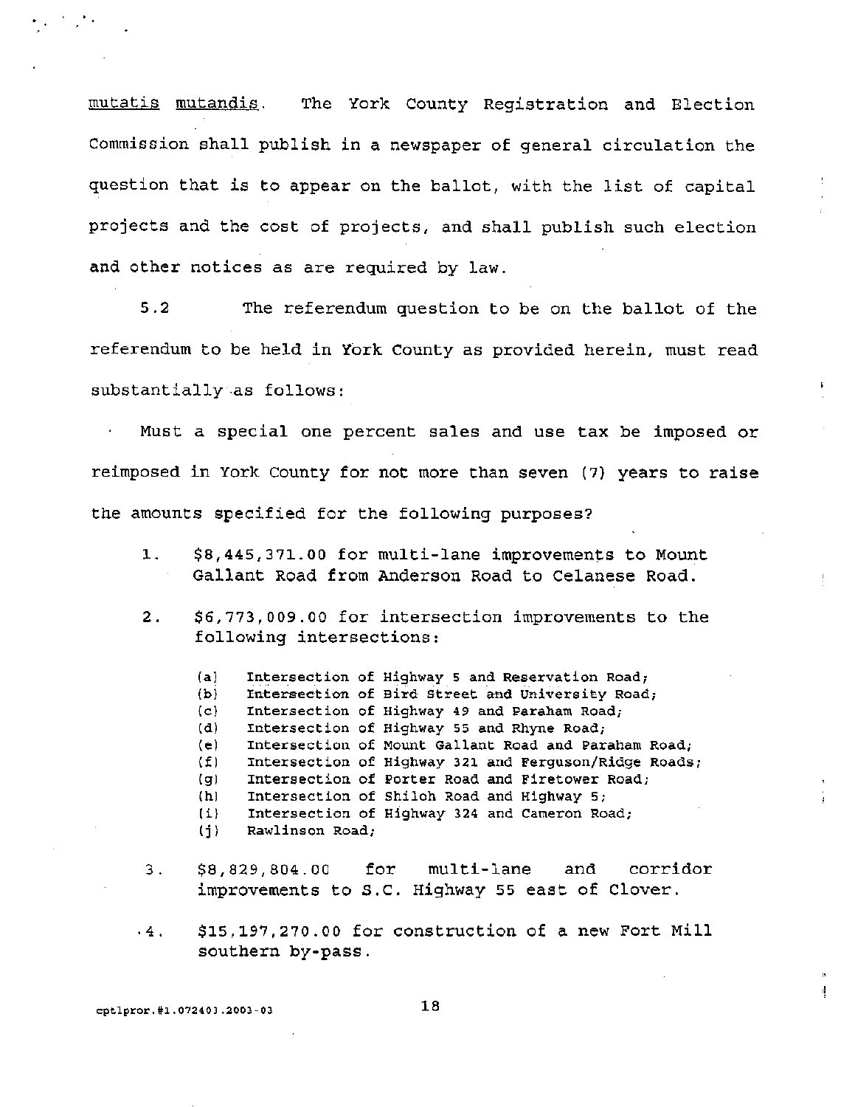mutatis mutandis. The York County Registration and Election commission shall publish in a newspaper of general circulation the question that is to appear on the ballot, with the list of capital projects and the cost of projects, and shall publish such election and other notices as are required by law.

5.2 The referendum question to be on the ballot of the referendum to be held in York County as provided herein, must read substantially.as follows:

Must a special one percent sales and use tax be imposed or reimposed in York County for not more than seven (7) years to raise the amounts specified for the following purposes?

- 1. \$8,445,371.00 for multi-lane improvements to Mount Gallant Road from Anderson Road to Celanese Road.
- 2. \$6,773,009.00 for intersection improvements to the following intersections:
	- (a) Intersection of Highway 5 and Reservation Road;
	- (b) Intersection of Bird Street and University Road;
	- (c) Intersection of Highway 49 and Paraham Road;
	- (d) Intersection of Highway 55 and Rhyne Road;
	- (e) Intersection of Mount Gallant Road and Paraham Road;
	- (f) Intersection of Highway 321 and Ferguson/Ridge Roads;
	- (g) Intersection of Porter Road and Firetower Road;
	- (h) Intersection of Shiloh Road and Highway 5;
	- (i) Intersection of Highway 324 and Cameron Road;

(i) Rawlinson Road;

- 3. \$8,829,804.00 for multi-Lane and corridor improvements to s.C. Highway 55 east of Clover .
- . 4. \$15,197,270.00 for construction of a new Fort Mill southern by-pass.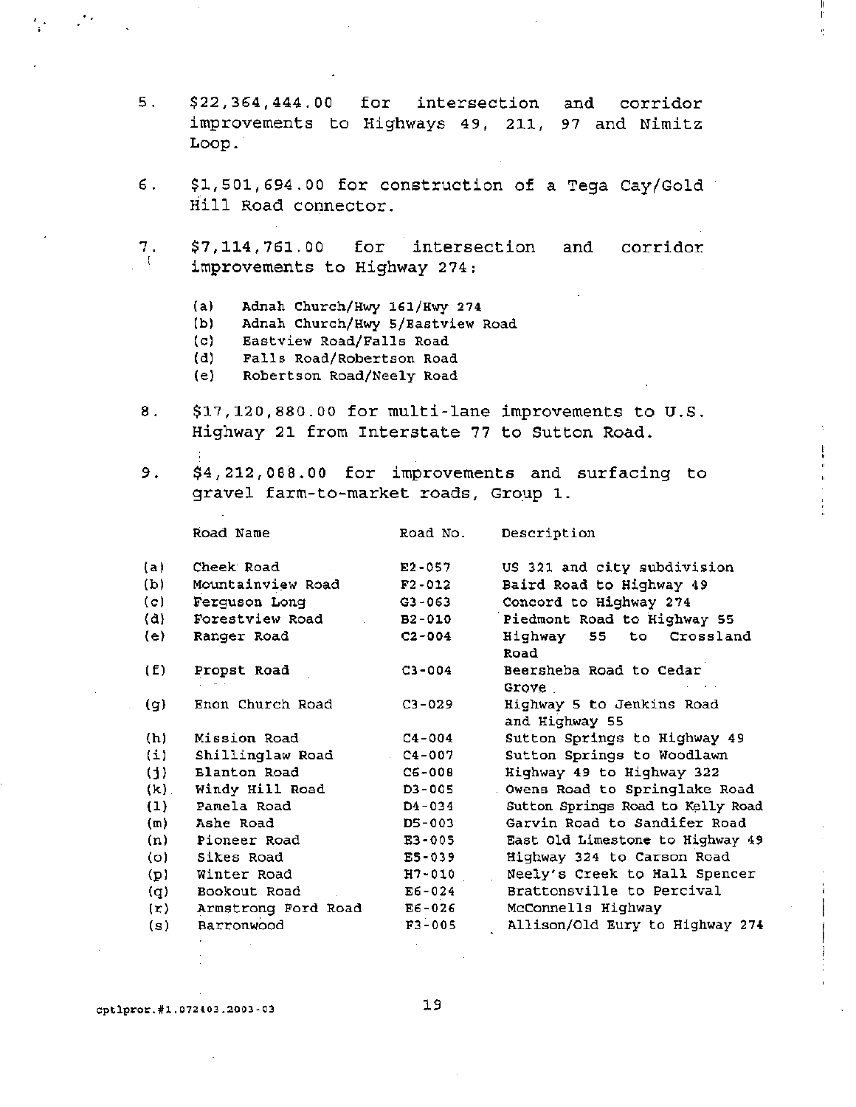- 5. \$22,364,444.00 for intersection and corridor improvements to Highways 49, 211, 97 and Nimitz Loop ..
- 6. \$1,501,694.00 for construction of a Tega Cay/Gold Hill Road connector.
- 7. I \$7,114,761.00 for intersection improvements to Highway 274: and corridor
	- (a) Adnah Church/Hwy 161/Hwy 274
	- (b) Adnah Church/Hwy 5/Eastview Road
	- (c) Eastview Road/Falls Road
	- (d) Falls Road/Robertson Road<br>(e) Robertson Road/Neely Road
	- Robertson Road/Neely Road
- 8. \$17,120,880.00 for multi-lane improvements to U.S. Highway 21 from Interstate 77 to Sutton Road.
- 

9. \$4, 212, 088.00 for improvements and surfacing to gravel farm-to-market roads, Group 1.

|                     | Road Name           | Road No.   | Description                                 |
|---------------------|---------------------|------------|---------------------------------------------|
| (a)                 | Cheek Road          | $E2 - 057$ | US 321 and city subdivision                 |
| (b)                 | Mountainview Road   | $F2 - 012$ | Baird Road to Highway 49                    |
| (c)                 | Ferguson Long       | $G3 - 063$ | Concord to Highway 274                      |
| $\langle d \rangle$ | Forestview Road     | $B2 - 010$ | Piedmont Road to Highway 55                 |
| (e)                 | Ranger Road         | $C2 - 004$ | Highway 55 to Crossland<br>Road             |
| (E)                 | Propst Road         | $C3 - 004$ | Beersheba Road to Cedar<br>Grove            |
| (g)                 | Enon Church Road    | $C3 - 029$ | Highway 5 to Jenkins Road<br>and Highway 55 |
| (h)                 | Mission Road        | $C4 - 004$ | Sutton Springs to Highway 49                |
| (1)                 | Shillinglaw Road    | $C4 - 007$ | Sutton Springs to Woodlawn                  |
| (i)                 | Blanton Road        | $C6 - 008$ | Highway 49 to Highway 322                   |
| $(k)$ .             | Windy Hill Road     | D3-005     | Owens Road to Springlake Road               |
| (1)                 | Pamela Road         | $D4 - 034$ | Sutton Springs Road to Kelly Road           |
| (m)                 | Ashe Road           | DS-003     | Garvin Road to Sandifer Road                |
| (n)                 | Pioneer Road        | E3-005     | East Old Limestone to Highway 49            |
| (o)                 | Sikes Road          | E5-039     | Highway 324 to Carson Road                  |
| (p)                 | Winter Road         | H7-010     | Neely's Creek to Hall Spencer               |
| (q)                 | Bookout Road        | $E6 - 024$ | Brattonsville to Percival                   |
| (r)                 | Armstrong Ford Road | E6-026     | McConnells Highway                          |
| (s)                 | Barronwood          | $F3 - 005$ | Allison/Old Eury to Highway 274             |
|                     |                     |            |                                             |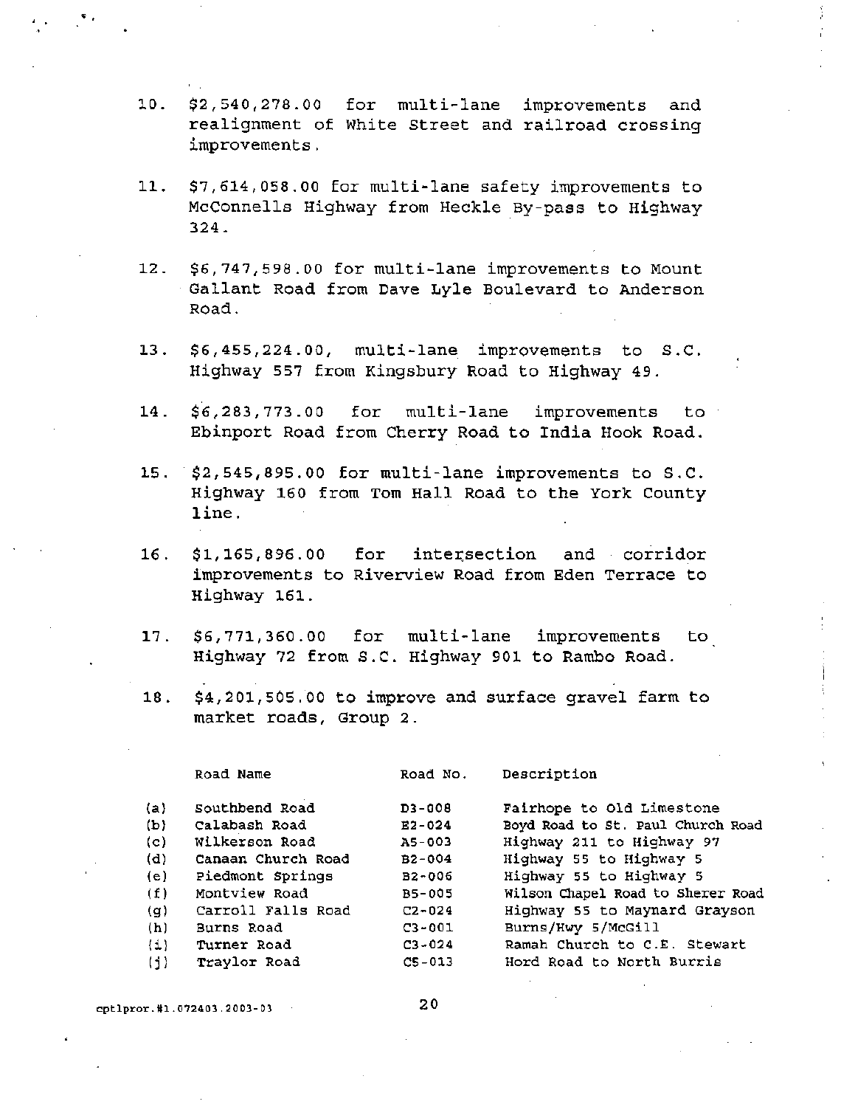- 10. \$2,540/278.00 for mUlti-lane improvements and realignment of White street and railroad crossing improvements.
- 11. \$7,614,058.00 for multi~lane safety improvements to McConnells Highway from Heckle By-pass to Highway 324.
- 12. \$6,747,598.00 for mUlti-lane improvements to Mount Gallant Road from Dave Lyle Boulevard to Anderson Road.
- 13. \$6,455,224.00, multi-lane improvements to s.C. Highway 557 from Kingsbury Road to Highway 49.
- 14. \$6,283/773.00 for multi-lane improvements to Ebinport Road from Cherry Road to India Hook Road.
- 15 .. \$2,545,895.00 for multi-lane improvements to s.C. Highway 160 from Tom Hall Road to the York County line.
- 16. \$1,165,896.00 for intersection and corridor improvements to Riverview Road from Eden Terrace to Highway 161.
- 17. \$6,771/360.00 for multi-lane improvements to Highway 72 from s.C. Highway 901 to Rambo Road.
- 18. \$4,201/505.00 to improve and surface gravel farm to market roads, Group 2.

Road No.

Description

| (a)              | Southbend Road     | $D3 - 008$ | Fairhope to Old Limestone         |
|------------------|--------------------|------------|-----------------------------------|
| (b)              | Calabash Road      | $E2 - 024$ | Boyd Road to St. Paul Church Road |
| (c)              | Wilkerson Road     | A5-003     | Highway 211 to Highway 97         |
| (d)              | Canaan Church Road | $B2 - 004$ | Highway 55 to Highway 5           |
| (e)              | Piedmont Springs   | $B2 - 006$ | Highway 55 to Highway 5           |
| (f)              | Montview Road      | B5-005     | Wilson Chapel Road to Sherer Road |
| (g)              | Carroll Falls Road | $C2 - 024$ | Highway 55 to Maynard Grayson     |
| (h)              | Burns Road         | $C3 - 001$ | Burns/Hwy 5/McGill                |
| $\{\downarrow\}$ | Turner Road        | $C3 - 024$ | Ramah Church to C.E. Stewart      |
| (1)              | Traylor Road       | $C5 - 013$ | Hord Road to North Burris         |
|                  |                    |            |                                   |

cptlpror.#1.072403.2003-03

Road Name

, . . . .  $\mathbf{v}_i$ 

20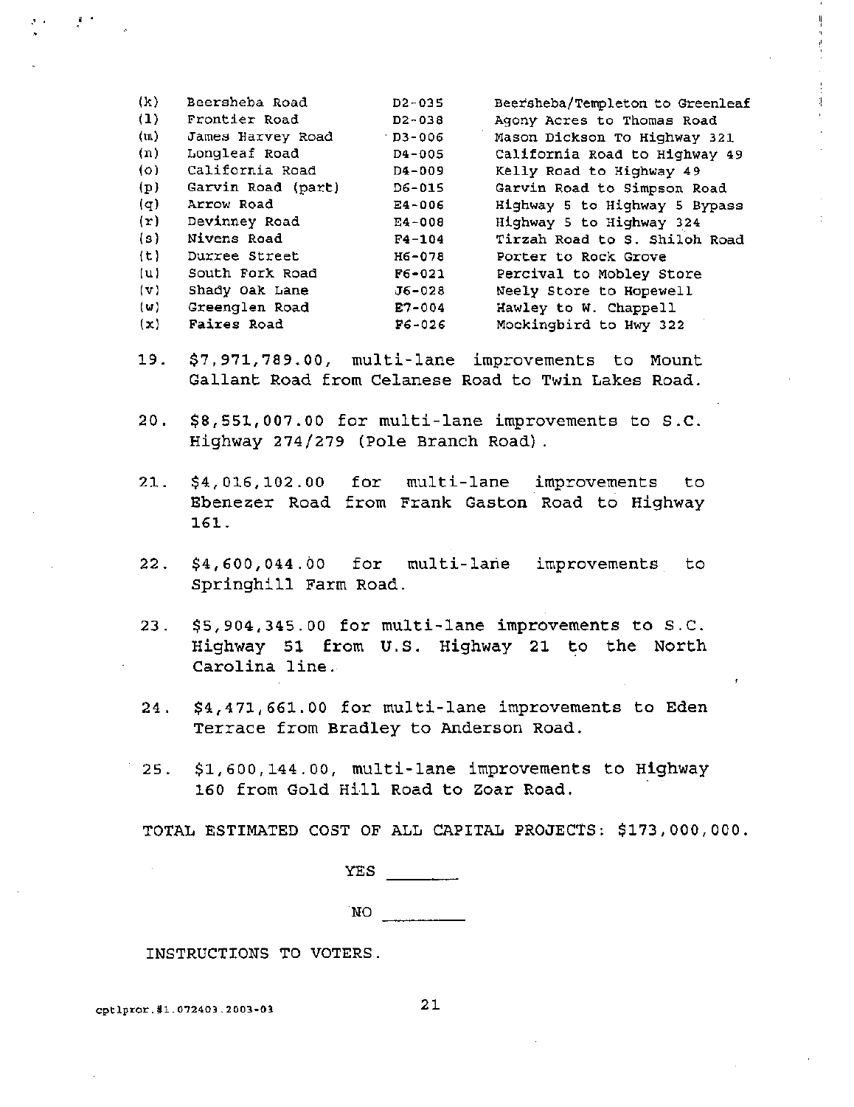| (k)          | Beersheba Road     | $D2 - 035$     | Beersheba/Templeton to Greenleaf |
|--------------|--------------------|----------------|----------------------------------|
| (1)          | Frontier Road      | $D2 - 038$     | Agony Acres to Thomas Road       |
| (m)          | James Harvey Road  | $\cdot$ D3-006 | Mason Dickson To Highway 321     |
| (n)          | Longleaf Road      | $D4 - 005$     | California Road to Highway 49    |
| (0)          | California Road    | D4-009         | Kelly Road to Highway 49         |
| (p)          | Garvin Road (part) | D6-015         | Garvin Road to Simpson Road      |
| (q)          | Arrow Road         | $E4 - 006$     | Highway 5 to Highway 5 Bypass    |
| (r)          | Devinney Road      | E4-008         | Highway 5 to Highway 324         |
| (s)          | Nivens Road        | $F4 - 104$     | Tirzah Road to S. Shiloh Road    |
| (t)          | Durree Street      | H6-078         | Porter to Rock Grove             |
| (u)          | South Fork Road    | $F6 - 021$     | Percival to Mobley Store         |
| $\mathbf{v}$ | Shady Oak Lane     | $J6 - 028$     | Neely Store to Hopewell          |
| (w)          | Greenglen Road     | $E7 - 004$     | Hawley to W. Chappell            |
| (x)          | Faires Road        | $F6 - 026$     | Mockingbird to Hwy 322           |
|              |                    |                |                                  |

- 19. \$7,971,789.00, multi-lane improvements to Mount Gallant Road from Celanese Road to Twin Lakes Road.
- 20. \$8,551,007.00 for multi-lane improvements to S.C. Highway 274/279 (Pole Branch Road) .
- 21. \$4,016,102.00 for multi-lane improvements to Ebenezer Road from Frank Gaston Road to Highway 161.
- 22. \$4,600,044.00 for multi-lane improvements to Springhill Farm Road.
- 23. \$5,904,345.00 for multi-lane improvements to S.C. Highway 5t from U. S. Highway 21 to the North Carolina line.
- 24. \$4,471,661.00 for multi-lane improvements to Eden Terrace from Bradley to Anderson Road.
- 25. \$1,600,144.00, mUlti-lane improvements to Highway 160 from Gold Hill Road to Zoar Road.

TOTAL ESTIMATED COST OF ALL CAPITAL PROJECTS: \$173,000,000.

YES NO<sub>vers</sub>

INSTRUCTIONS TO VOTERS.

cptlpror.#1.072403.2003-03 21

 $\mathcal{E}^{\mathcal{L}} = \mathcal{E}^{\mathcal{L}}$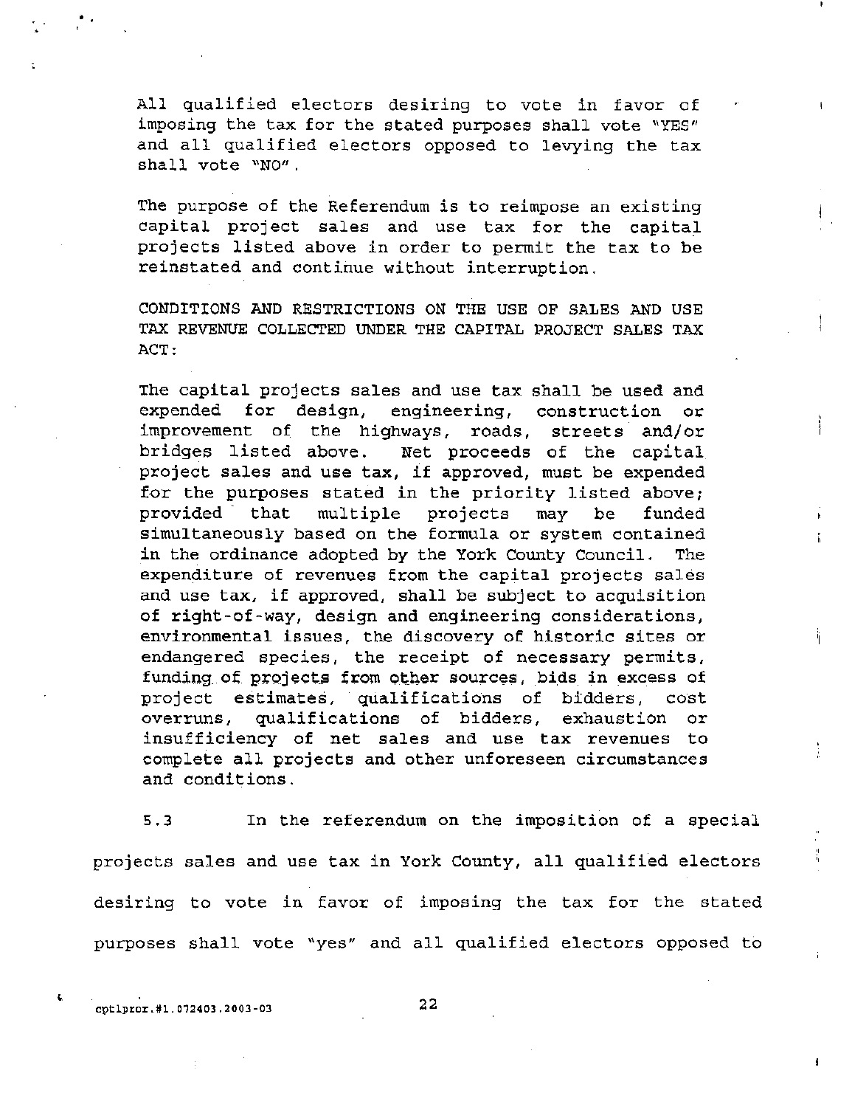All qualified electors desiring to vote in favor of imposing the tax for the stated purposes shall vote "YES" and all qualified electors opposed to levying the tax shall vote "NO".

The purpose of the Referendum is to reimpose an existing capital project sales and use tax for the capital projects listed above in order to permit the tax to be reinstated and continue without interruption.

CONDITIONS AND RESTRICTIONS ON THE USE OF SALES AND USE TAX REVENUE COLLECTED UNDER THE CAPITAL PROJECT SALES TAX ACT:

The capital projects sales and use tax shall be used and expended for design, engineering, construction or improvement of the highways, roads, streets and/or bridges listed above. Net proceeds of the capital project sales and use tax, if approved, must be expended for the purposes stated in the priority listed above; provided· that multiple projects may be funded simultaneously based on the formula or system contained in the ordinance adopted by the York County Council. The expenditure of revenues from the capital projects sales and use tax, if approved, shall be subject to acquisition of right-of-way, design and engineering considerations, environmental issues, the discovery of historic sites or endangered species, the receipt of necessary permits, funding of projects from other sources, bids in excess of project estimates, qualifications of bidders, cost overruns, qualifications of bidders, exhaustion or insufficiency of net sales and use tax revenues to complete all projects and other unforeseen circumstances and conditions.

5.3 In the referendum on the imposition of a special projects sales and use tax in York County, all qualified electors desiring to vote in favor of imposing the tax for the stated purposes shall vote "yes" and all qualified electors opposed to

cptlpror.#1.072403.2003-03 22

· .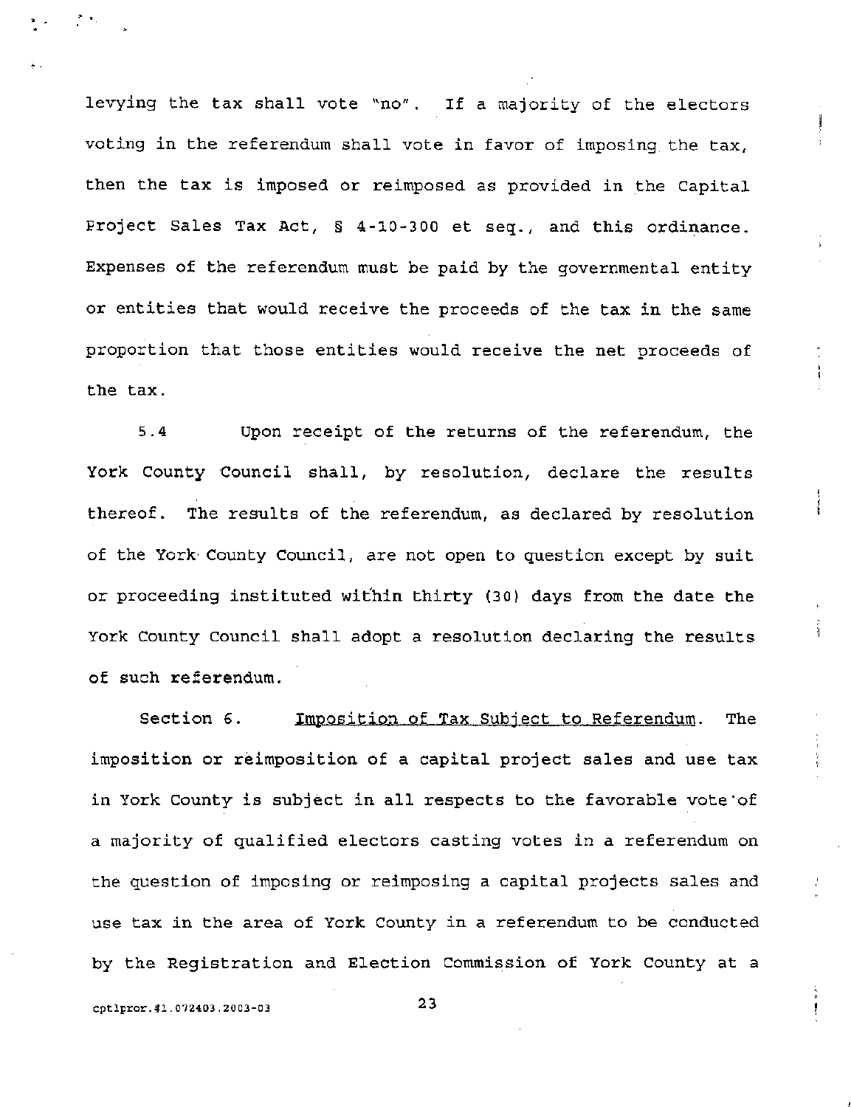levying the tax shall vote "no". If a majority of the electors voting in the referendum shall vote in favor of imposing the tax, then the tax is imposed or reimposed as provided in the Capital project Sales Tax Act, § 4-10-300 et seq., and this ordinance. Expenses of the referendum must be paid by the governmental entity or entities that would receive the proceeds of the tax in the same proportion that those entities would receive the net proceeds of the tax.

5.4 Upon receipt of the returns of the referendum, the York County Council shall, by resolution, declare the results thereof. The results of the referendum, as declared by resolution of the York County Council, are not open to question except by suit or proceeding instituted within thirty (30) days from the date the York County Council shall adopt a resolution declaring the results of such referendum.

Section 6. Imposition of Tax Subject to Referendum. The imposition or reimposition of a capital project sales and use tax in York county is subject in all respects to the favorable vote'of a majority of qualified electors casting votes in a referendum on the question of imposing or reimposing a capital projects sales and use tax in the area of York County in a referendum to be conducted by the Registration and Election Commission of York County at a

cptlpror.#1.072403.2003-03 23

· .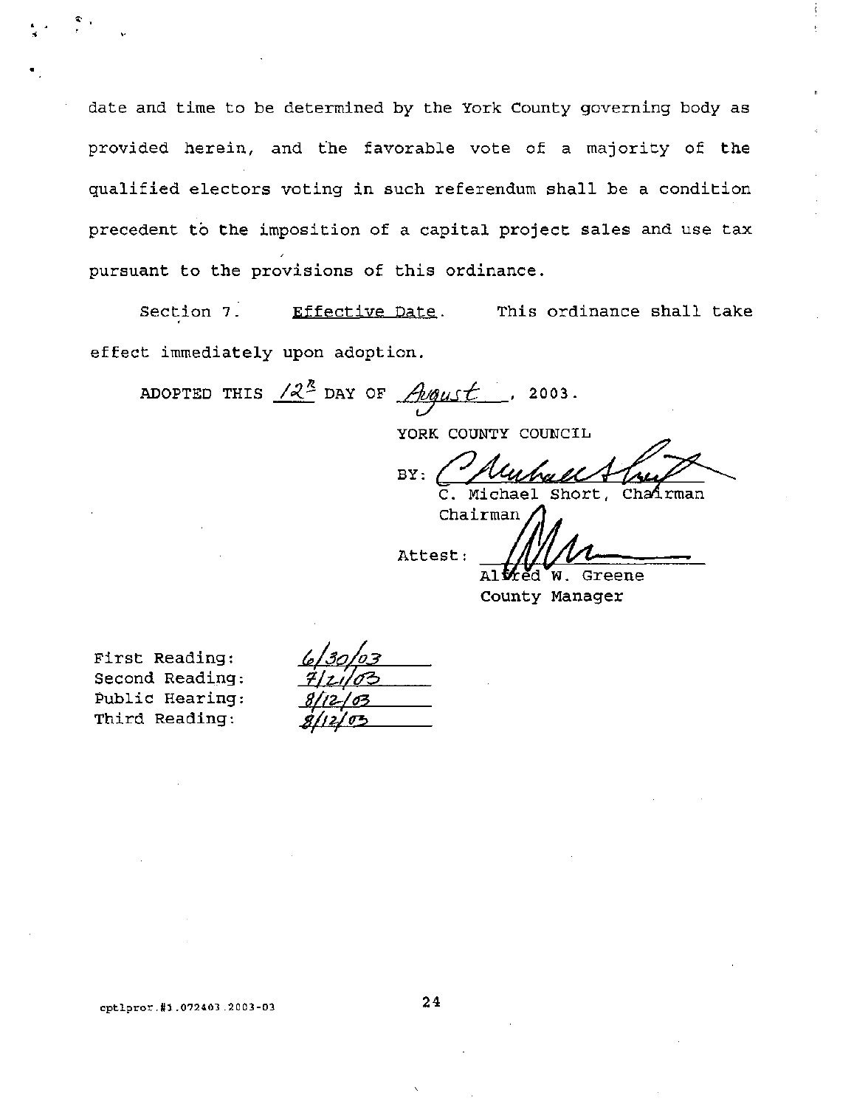date and time to be determined by the York County governing body as provided herein, and the favorable vote of a majority of the qualified electors voting in such referendum shall be a condition precedent to the imposition of a capital project sales and use tax pursuant to the provisions of this ordinance.

Section 7. Effective Date. This ordinance shall take effect immediately upon adoption.

ADOPTED THIS  $/2^{\frac{n}{2}}$  DAY OF  $\sqrt{n}$ gust, 2003.

YORK COUNTY COUNCIL

BY: Charles Short, Charles C. Michael Short, Charles on

Chairm:~(lj Attest:

hael Short, Chairman<br>an<br>**Michael W. Greene** 

Altred) County Manager

First Reading: Second Reading: Public Hearing: Third Reading:

 $\ddot{\cdot}$  ,

| 6/30/03        |
|----------------|
| <u>7/21/03</u> |
| 8/12/03        |
| 8/12/<br>のつ    |